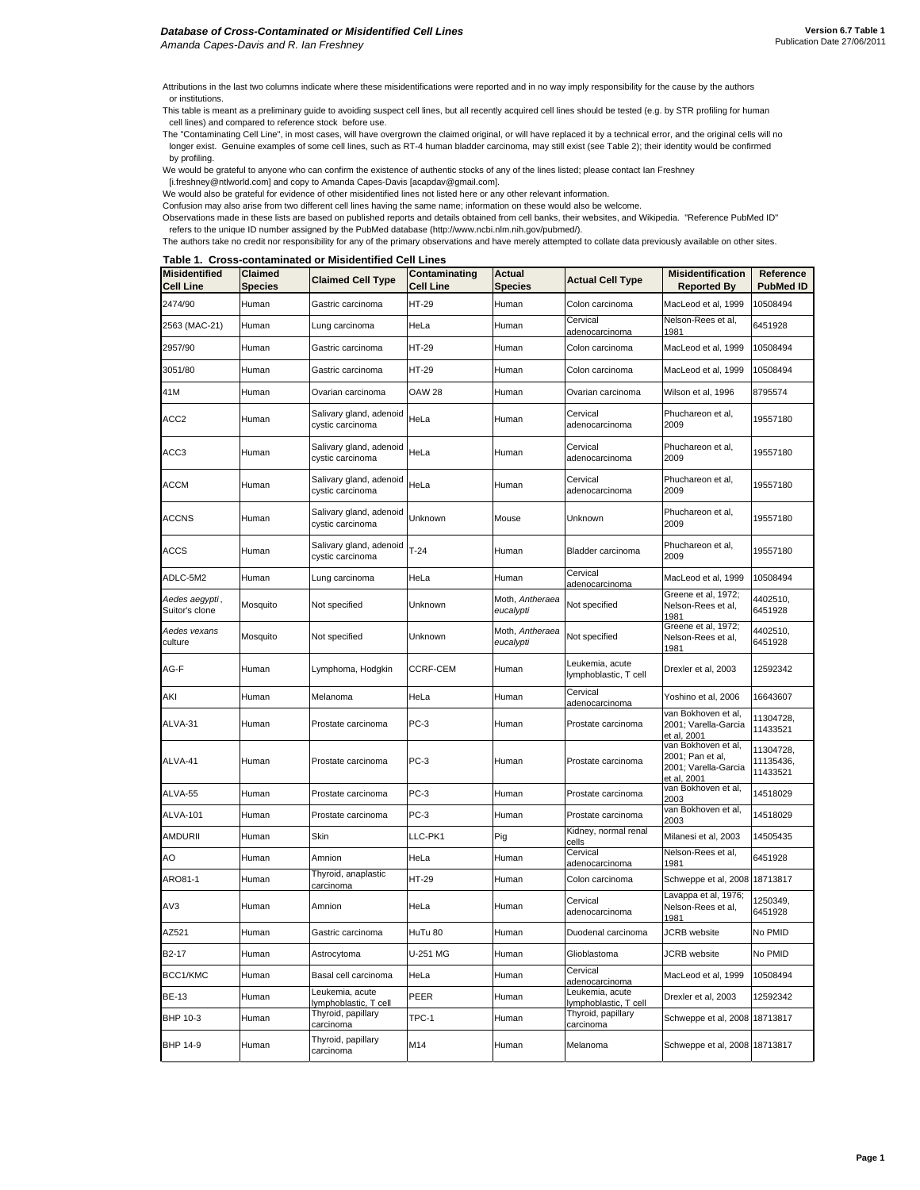Attributions in the last two columns indicate where these misidentifications were reported and in no way imply responsibility for the cause by the authors or institutions.

This table is meant as a preliminary guide to avoiding suspect cell lines, but all recently acquired cell lines should be tested (e.g. by STR profiling for human cell lines) and compared to reference stock before use.

The "Contaminating Cell Line", in most cases, will have overgrown the claimed original, or will have replaced it by a technical error, and the original cells will no longer exist. Genuine examples of some cell lines, such as RT-4 human bladder carcinoma, may still exist (see Table 2); their identity would be confirmed by profiling.

We would be grateful to anyone who can confirm the existence of authentic stocks of any of the lines listed; please contact Ian Freshney

[i.freshney@ntlworld.com] and copy to Amanda Capes-Davis [acapdav@gmail.com].

We would also be grateful for evidence of other misidentified lines not listed here or any other relevant information.

Confusion may also arise from two different cell lines having the same name; information on these would also be welcome.

Observations made in these lists are based on published reports and details obtained from cell banks, their websites, and Wikipedia. "Reference PubMed ID" refers to the unique ID number assigned by the PubMed database (http://www.ncbi.nlm.nih.gov/pubmed/).

The authors take no credit nor responsibility for any of the primary observations and have merely attempted to collate data previously available on other sites.

**Table 1. Cross-contaminated or Misidentified Cell Lines**

| <b>Misidentified</b><br><b>Cell Line</b> | <b>Claimed</b><br><b>Species</b> | <b>Claimed Cell Type</b>                    | Contaminating<br><b>Cell Line</b> | <b>Actual</b><br><b>Species</b> | <b>Actual Cell Type</b>                  | <b>Misidentification</b><br><b>Reported By</b>                                 | Reference<br><b>PubMed ID</b>      |
|------------------------------------------|----------------------------------|---------------------------------------------|-----------------------------------|---------------------------------|------------------------------------------|--------------------------------------------------------------------------------|------------------------------------|
| 2474/90                                  | Human                            | Gastric carcinoma                           | HT-29                             | Human                           | Colon carcinoma                          | MacLeod et al, 1999                                                            | 10508494                           |
| 2563 (MAC-21)                            | Human                            | Lung carcinoma                              | HeLa                              | Human                           | Cervical<br>adenocarcinoma               | Nelson-Rees et al,<br>1981                                                     | 6451928                            |
| 2957/90                                  | Human                            | Gastric carcinoma                           | HT-29                             | Human                           | Colon carcinoma                          | MacLeod et al, 1999                                                            | 10508494                           |
| 3051/80                                  | Human                            | Gastric carcinoma                           | HT-29                             | Human                           | Colon carcinoma                          | MacLeod et al, 1999                                                            | 10508494                           |
| 41M                                      | Human                            | Ovarian carcinoma                           | <b>OAW 28</b>                     | Human                           | Ovarian carcinoma                        | Wilson et al, 1996                                                             | 8795574                            |
| ACC <sub>2</sub>                         | Human                            | Salivary gland, adenoid<br>cystic carcinoma | HeLa                              | Human                           | Cervical<br>adenocarcinoma               | Phuchareon et al,<br>2009                                                      | 19557180                           |
| ACC3                                     | Human                            | Salivary gland, adenoid<br>cystic carcinoma | HeLa                              | Human                           | Cervical<br>adenocarcinoma               | Phuchareon et al,<br>2009                                                      | 19557180                           |
| <b>ACCM</b>                              | Human                            | Salivary gland, adenoid<br>cystic carcinoma | HeLa                              | Human                           | Cervical<br>adenocarcinoma               | Phuchareon et al,<br>2009                                                      | 19557180                           |
| <b>ACCNS</b>                             | Human                            | Salivary gland, adenoid<br>cystic carcinoma | Unknown                           | Mouse                           | Unknown                                  | Phuchareon et al,<br>2009                                                      | 19557180                           |
| <b>ACCS</b>                              | Human                            | Salivary gland, adenoid<br>cystic carcinoma | $T-24$                            | Human                           | Bladder carcinoma                        | Phuchareon et al,<br>2009                                                      | 19557180                           |
| ADLC-5M2                                 | Human                            | Lung carcinoma                              | HeLa                              | Human                           | Cervical<br>adenocarcinoma               | MacLeod et al, 1999                                                            | 10508494                           |
| Aedes aegypti,<br>Suitor's clone         | Mosquito                         | Not specified                               | Unknown                           | Moth, Antheraea<br>eucalypti    | Not specified                            | Greene et al, 1972;<br>Nelson-Rees et al,<br>1981                              | 4402510,<br>6451928                |
| Aedes vexans<br>culture                  | Mosquito                         | Not specified                               | Unknown                           | Moth, Antheraea<br>eucalypti    | Not specified                            | Greene et al, 1972;<br>Nelson-Rees et al,<br>1981                              | 4402510,<br>6451928                |
| AG-F                                     | Human                            | Lymphoma, Hodgkin                           | CCRF-CEM                          | Human                           | Leukemia, acute<br>lymphoblastic, T cell | Drexler et al, 2003                                                            | 12592342                           |
| AKI                                      | Human                            | Melanoma                                    | HeLa                              | Human                           | Cervical<br>adenocarcinoma               | Yoshino et al, 2006                                                            | 16643607                           |
| ALVA-31                                  | Human                            | Prostate carcinoma                          | $PC-3$                            | Human                           | Prostate carcinoma                       | van Bokhoven et al,<br>2001; Varella-Garcia<br>et al, 2001                     | 11304728,<br>11433521              |
| ALVA-41                                  | Human                            | Prostate carcinoma                          | PC-3                              | Human                           | Prostate carcinoma                       | van Bokhoven et al,<br>2001; Pan et al,<br>2001; Varella-Garcia<br>et al, 2001 | 11304728,<br>11135436,<br>11433521 |
| ALVA-55                                  | Human                            | Prostate carcinoma                          | $PC-3$                            | Human                           | Prostate carcinoma                       | van Bokhoven et al,<br>2003                                                    | 14518029                           |
| ALVA-101                                 | Human                            | Prostate carcinoma                          | PC-3                              | Human                           | Prostate carcinoma                       | van Bokhoven et al,<br>2003                                                    | 14518029                           |
| AMDURII                                  | Human                            | Skin                                        | LLC-PK1                           | Pig                             | Kidney, normal renal<br>cells            | Milanesi et al, 2003                                                           | 14505435                           |
| AO                                       | Human                            | Amnion                                      | HeLa                              | Human                           | Cervical<br>adenocarcinoma               | Nelson-Rees et al,<br>1981                                                     | 6451928                            |
| ARO81-1                                  | Human                            | Thyroid, anaplastic<br>carcinoma            | HT-29                             | Human                           | Colon carcinoma                          | Schweppe et al, 2008                                                           | 18713817                           |
| AV3                                      | Human                            | Amnion                                      | HeLa                              | Human                           | Cervical<br>adenocarcinoma               | Lavappa et al, 1976;<br>Nelson-Rees et al,<br>1981                             | 1250349,<br>6451928                |
| AZ521                                    | Human                            | Gastric carcinoma                           | HuTu 80                           | Human                           | Duodenal carcinoma                       | <b>JCRB</b> website                                                            | No PMID                            |
| B2-17                                    | Human                            | Astrocytoma                                 | U-251 MG                          | Human                           | Glioblastoma                             | JCRB website                                                                   | No PMID                            |
| BCC1/KMC                                 | Human                            | Basal cell carcinoma                        | HeLa                              | Human                           | Cervical<br>adenocarcinoma               | MacLeod et al, 1999                                                            | 10508494                           |
| <b>BE-13</b>                             | Human                            | Leukemia, acute<br>lymphoblastic, T cell    | PEER                              | Human                           | Leukemia, acute<br>lymphoblastic, T cell | Drexler et al, 2003                                                            | 12592342                           |
| BHP 10-3                                 | Human                            | Thyroid, papillary<br>carcinoma             | TPC-1                             | Human                           | Thyroid, papillary<br>carcinoma          | Schweppe et al, 2008 18713817                                                  |                                    |
| BHP 14-9                                 | Human                            | Thyroid, papillary<br>carcinoma             | M14                               | Human                           | Melanoma                                 | Schweppe et al, 2008 18713817                                                  |                                    |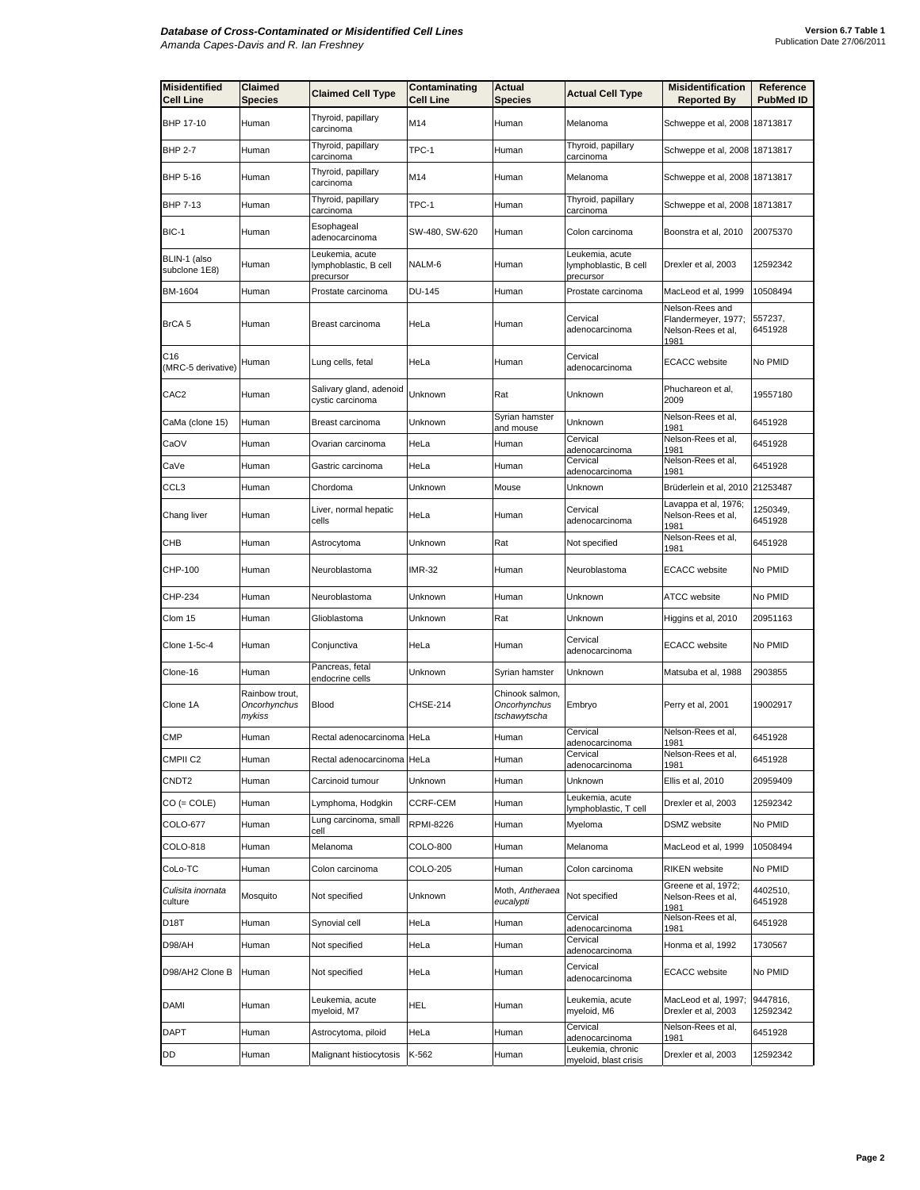| <b>Misidentified</b><br><b>Cell Line</b> | Claimed<br>Species                       | <b>Claimed Cell Type</b>                              | Contaminating<br><b>Cell Line</b> | Actual<br><b>Species</b>                        | <b>Actual Cell Type</b>                               | <b>Misidentification</b><br><b>Reported By</b>                       | Reference<br><b>PubMed ID</b> |
|------------------------------------------|------------------------------------------|-------------------------------------------------------|-----------------------------------|-------------------------------------------------|-------------------------------------------------------|----------------------------------------------------------------------|-------------------------------|
| BHP 17-10                                | Human                                    | Thyroid, papillary<br>carcinoma                       | M14                               | Human                                           | Melanoma                                              | Schweppe et al, 2008 18713817                                        |                               |
| <b>BHP 2-7</b>                           | Human                                    | Thyroid, papillary<br>carcinoma                       | TPC-1                             | Human                                           | Thyroid, papillary<br>carcinoma                       | Schweppe et al, 2008 18713817                                        |                               |
| BHP 5-16                                 | Human                                    | Thyroid, papillary<br>carcinoma                       | M14                               | Human                                           | Melanoma                                              | Schweppe et al, 2008 18713817                                        |                               |
| <b>BHP 7-13</b>                          | Human                                    | Thyroid, papillary<br>carcinoma                       | TPC-1                             | Human                                           | Thyroid, papillary<br>carcinoma                       | Schweppe et al, 2008 18713817                                        |                               |
| BIC-1                                    | Human                                    | Esophageal<br>adenocarcinoma                          | SW-480, SW-620                    | Human                                           | Colon carcinoma                                       | Boonstra et al, 2010                                                 | 20075370                      |
| BLIN-1 (also<br>subclone 1E8)            | Human                                    | Leukemia, acute<br>lymphoblastic, B cell<br>precursor | NALM-6                            | Human                                           | Leukemia, acute<br>lymphoblastic, B cell<br>precursor | Drexler et al, 2003                                                  | 12592342                      |
| BM-1604                                  | Human                                    | Prostate carcinoma                                    | DU-145                            | Human                                           | Prostate carcinoma                                    | MacLeod et al, 1999                                                  | 10508494                      |
| BrCA 5                                   | Human                                    | Breast carcinoma                                      | HeLa                              | Human                                           | Cervical<br>adenocarcinoma                            | Nelson-Rees and<br>Flandermeyer, 1977;<br>Nelson-Rees et al,<br>1981 | 557237,<br>6451928            |
| C16<br>(MRC-5 derivative)                | Human                                    | Lung cells, fetal                                     | HeLa                              | Human                                           | Cervical<br>adenocarcinoma                            | <b>ECACC</b> website                                                 | No PMID                       |
| CAC <sub>2</sub>                         | Human                                    | Salivary gland, adenoid<br>cystic carcinoma           | Unknown                           | Rat                                             | Unknown                                               | Phuchareon et al,<br>2009                                            | 19557180                      |
| CaMa (clone 15)                          | Human                                    | Breast carcinoma                                      | Unknown                           | Syrian hamster<br>and mouse                     | Unknown                                               | Nelson-Rees et al.<br>1981                                           | 6451928                       |
| CaOV                                     | Human                                    | Ovarian carcinoma                                     | HeLa                              | Human                                           | Cervical<br>adenocarcinoma                            | Nelson-Rees et al,<br>1981                                           | 6451928                       |
| CaVe                                     | Human                                    | Gastric carcinoma                                     | HeLa                              | Human                                           | Cervical<br>adenocarcinoma                            | Nelson-Rees et al,<br>1981                                           | 6451928                       |
| CCL3                                     | Human                                    | Chordoma                                              | Unknown                           | Mouse                                           | Unknown                                               | Brüderlein et al, 2010 21253487                                      |                               |
| Chang liver                              | Human                                    | Liver, normal hepatic<br>cells                        | HeLa                              | Human                                           | Cervical<br>adenocarcinoma                            | Lavappa et al, 1976;<br>Nelson-Rees et al,<br>1981                   | 1250349,<br>6451928           |
| СНВ                                      | Human                                    | Astrocytoma                                           | Unknown                           | Rat                                             | Not specified                                         | Nelson-Rees et al,<br>1981                                           | 6451928                       |
| CHP-100                                  | Human                                    | Neuroblastoma                                         | <b>IMR-32</b>                     | Human                                           | Neuroblastoma                                         | <b>ECACC</b> website                                                 | No PMID                       |
| CHP-234                                  | Human                                    | Neuroblastoma                                         | Unknown                           | Human                                           | Unknown                                               | ATCC website                                                         | No PMID                       |
| Clom 15                                  | Human                                    | Glioblastoma                                          | Unknown                           | Rat                                             | Unknown                                               | Higgins et al, 2010                                                  | 20951163                      |
| Clone 1-5c-4                             | Human                                    | Conjunctiva                                           | HeLa                              | Human                                           | Cervical<br>adenocarcinoma                            | <b>ECACC</b> website                                                 | No PMID                       |
| Clone-16                                 | Human                                    | Pancreas, fetal<br>endocrine cells                    | Unknown                           | Syrian hamster                                  | Unknown                                               | Matsuba et al, 1988                                                  | 2903855                       |
| Clone 1A                                 | Rainbow trout,<br>Oncorhynchus<br>mykiss | Blood                                                 | CHSE-214                          | Chinook salmon,<br>Oncorhynchus<br>tschawytscha | Embryo                                                | Perry et al, 2001                                                    | 19002917                      |
| <b>CMP</b>                               | Human                                    | Rectal adenocarcinoma                                 | HeLa                              | Human                                           | Cervical<br>adenocarcinoma                            | Nelson-Rees et al,<br>1981                                           | 6451928                       |
| CMPII <sub>C2</sub>                      | Human                                    | Rectal adenocarcinoma HeLa                            |                                   | Human                                           | Cervical<br>adenocarcinoma                            | Nelson-Rees et al,<br>1981                                           | 6451928                       |
| CNDT2                                    | Human                                    | Carcinoid tumour                                      | Unknown                           | Human                                           | <b>Unknown</b>                                        | Ellis et al, 2010                                                    | 20959409                      |
| $CO (= COLE)$                            | Human                                    | Lymphoma, Hodgkin                                     | CCRF-CEM                          | Human                                           | Leukemia, acute<br>lymphoblastic, T cell              | Drexler et al, 2003                                                  | 12592342                      |
| COLO-677                                 | Human                                    | Lung carcinoma, small<br>cell                         | RPMI-8226                         | Human                                           | Myeloma                                               | DSMZ website                                                         | No PMID                       |
| COLO-818                                 | Human                                    | Melanoma                                              | COLO-800                          | Human                                           | Melanoma                                              | MacLeod et al, 1999                                                  | 10508494                      |
| CoLo-TC                                  | Human                                    | Colon carcinoma                                       | COLO-205                          | Human                                           | Colon carcinoma                                       | <b>RIKEN</b> website                                                 | No PMID                       |
| Culisita inornata<br>culture             | Mosquito                                 | Not specified                                         | Unknown                           | Moth, Antheraea<br>eucalypti                    | Not specified                                         | Greene et al, 1972;<br>Nelson-Rees et al,<br>1981                    | 4402510,<br>6451928           |
| D18T                                     | Human                                    | Synovial cell                                         | HeLa                              | Human                                           | Cervical<br>adenocarcinoma                            | Nelson-Rees et al,<br>1981                                           | 6451928                       |
| D98/AH                                   | Human                                    | Not specified                                         | HeLa                              | Human                                           | Cervical<br>adenocarcinoma                            | Honma et al, 1992                                                    | 1730567                       |
| D98/AH2 Clone B                          | Human                                    | Not specified                                         | HeLa                              | Human                                           | Cervical<br>adenocarcinoma                            | <b>ECACC</b> website                                                 | No PMID                       |
| <b>DAMI</b>                              | Human                                    | Leukemia, acute<br>myeloid, M7                        | HEL                               | Human                                           | Leukemia, acute<br>myeloid, M6                        | MacLeod et al, 1997;<br>Drexler et al, 2003                          | 9447816,<br>12592342          |
| DAPT                                     | Human                                    | Astrocytoma, piloid                                   | HeLa                              | Human                                           | Cervical<br>adenocarcinoma                            | Nelson-Rees et al,<br>1981                                           | 6451928                       |
| DD                                       | Human                                    | Malignant histiocytosis                               | K-562                             | Human                                           | Leukemia, chronic<br>myeloid, blast crisis            | Drexler et al, 2003                                                  | 12592342                      |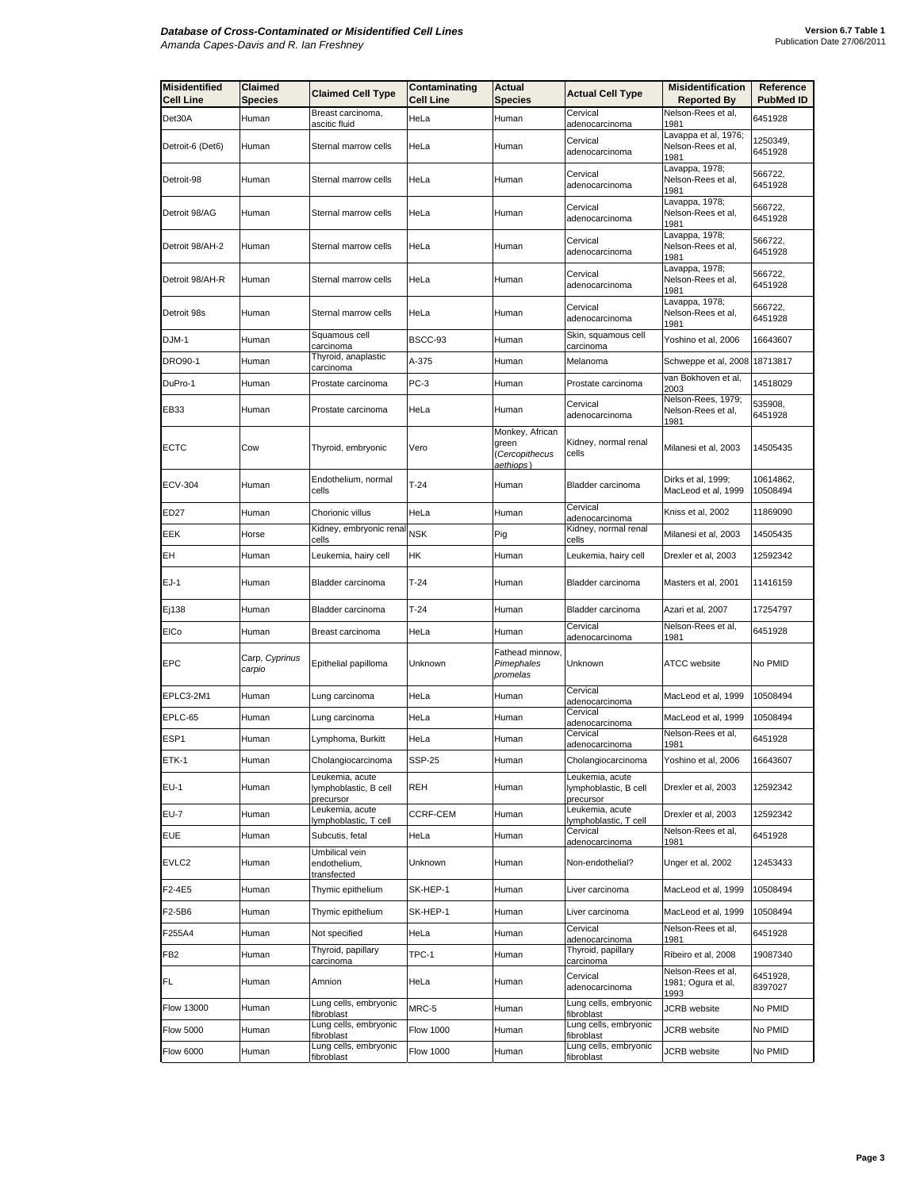| <b>Misidentified</b><br><b>Cell Line</b> | Claimed<br><b>Species</b> | <b>Claimed Cell Type</b>                              | Contaminating<br><b>Cell Line</b> | Actual<br><b>Species</b>                               | <b>Actual Cell Type</b>                               | <b>Misidentification</b><br><b>Reported By</b>     | Reference<br><b>PubMed ID</b> |
|------------------------------------------|---------------------------|-------------------------------------------------------|-----------------------------------|--------------------------------------------------------|-------------------------------------------------------|----------------------------------------------------|-------------------------------|
| Det30A                                   | Human                     | Breast carcinoma,<br>ascitic fluid                    | HeLa                              | Human                                                  | Cervical<br>adenocarcinoma                            | Nelson-Rees et al,<br>1981                         | 6451928                       |
| Detroit-6 (Det6)                         | Human                     | Sternal marrow cells                                  | HeLa                              | Human                                                  | Cervical<br>adenocarcinoma                            | Lavappa et al, 1976;<br>Nelson-Rees et al,<br>1981 | 1250349,<br>6451928           |
| Detroit-98                               | Human                     | Sternal marrow cells                                  | HeLa                              | Human                                                  | Cervical<br>adenocarcinoma                            | Lavappa, 1978;<br>Nelson-Rees et al,<br>1981       | 566722,<br>6451928            |
| Detroit 98/AG                            | Human                     | Sternal marrow cells                                  | HeLa                              | Human                                                  | Cervical<br>adenocarcinoma                            | Lavappa, 1978;<br>Nelson-Rees et al,<br>1981       | 566722,<br>6451928            |
| Detroit 98/AH-2                          | Human                     | Sternal marrow cells                                  | HeLa                              | Human                                                  | Cervical<br>adenocarcinoma                            | Lavappa, 1978;<br>Nelson-Rees et al,<br>1981       | 566722,<br>6451928            |
| Detroit 98/AH-R                          | Human                     | Sternal marrow cells                                  | HeLa                              | Human                                                  | Cervical<br>adenocarcinoma                            | Lavappa, 1978;<br>Nelson-Rees et al,<br>1981       | 566722,<br>6451928            |
| Detroit 98s                              | Human                     | Sternal marrow cells                                  | HeLa                              | Human                                                  | Cervical<br>adenocarcinoma                            | Lavappa, 1978;<br>Nelson-Rees et al,<br>1981       | 566722,<br>6451928            |
| DJM-1                                    | Human                     | Squamous cell<br>carcinoma                            | BSCC-93                           | Human                                                  | Skin, squamous cell<br>carcinoma                      | Yoshino et al, 2006                                | 16643607                      |
| DRO90-1                                  | Human                     | Thyroid, anaplastic<br>carcinoma                      | A-375                             | Human                                                  | Melanoma                                              | Schweppe et al, 2008                               | 18713817                      |
| DuPro-1                                  | Human                     | Prostate carcinoma                                    | $PC-3$                            | Human                                                  | Prostate carcinoma                                    | van Bokhoven et al,<br>2003                        | 14518029                      |
| EB33                                     | Human                     | Prostate carcinoma                                    | HeLa                              | Human                                                  | Cervical<br>adenocarcinoma                            | Nelson-Rees, 1979;<br>Nelson-Rees et al,<br>1981   | 535908,<br>6451928            |
| <b>ECTC</b>                              | Cow                       | Thyroid, embryonic                                    | Vero                              | Monkey, African<br>green<br>Cercopithecus<br>aethiops) | Kidney, normal renal<br>cells                         | Milanesi et al, 2003                               | 14505435                      |
| <b>ECV-304</b>                           | Human                     | Endothelium, normal<br>cells                          | $T-24$                            | Human                                                  | Bladder carcinoma                                     | Dirks et al, 1999;<br>MacLeod et al, 1999          | 10614862,<br>10508494         |
| ED27                                     | Human                     | Chorionic villus                                      | HeLa                              | Human                                                  | Cervical<br>adenocarcinoma                            | Kniss et al, 2002                                  | 11869090                      |
| EEK                                      | Horse                     | Kidney, embryonic renal<br>cells                      | NSK                               | Pig                                                    | Kidney, normal renal<br>cells                         | Milanesi et al, 2003                               | 14505435                      |
| EН                                       | Human                     | Leukemia, hairy cell                                  | НK                                | Human                                                  | Leukemia, hairy cell                                  | Drexler et al, 2003                                | 12592342                      |
| EJ-1                                     | Human                     | Bladder carcinoma                                     | $T-24$                            | Human                                                  | Bladder carcinoma                                     | Masters et al, 2001                                | 11416159                      |
| Ej138                                    | Human                     | Bladder carcinoma                                     | $T-24$                            | Human                                                  | Bladder carcinoma                                     | Azari et al, 2007                                  | 17254797                      |
| EICo                                     | Human                     | Breast carcinoma                                      | HeLa                              | Human                                                  | Cervical<br>adenocarcinoma                            | Nelson-Rees et al,<br>1981                         | 6451928                       |
| EPC                                      | Carp, Cyprinus<br>carpio  | Epithelial papilloma                                  | Unknown                           | Fathead minnow,<br>Pimephales<br>promelas              | Unknown                                               | ATCC website                                       | No PMID                       |
| EPLC3-2M1                                | Human                     | Lung carcinoma                                        | HeLa                              | Human                                                  | Cervical<br>adenocarcinoma                            | MacLeod et al, 1999                                | 10508494                      |
| EPLC-65                                  | Human                     | Lung carcinoma                                        | HeLa                              | Human                                                  | Cervical<br>adenocarcinoma                            | MacLeod et al, 1999                                | 10508494                      |
| ESP <sub>1</sub>                         | Human                     | Lymphoma, Burkitt                                     | HeLa                              | Human                                                  | Cervical<br>adenocarcinoma                            | Nelson-Rees et al,<br>1981                         | 6451928                       |
| ETK-1                                    | Human                     | Cholangiocarcinoma                                    | <b>SSP-25</b>                     | Human                                                  | Cholangiocarcinoma                                    | Yoshino et al, 2006                                | 16643607                      |
| $EU-1$                                   | Human                     | Leukemia, acute<br>lymphoblastic, B cell<br>precursor | REH                               | Human                                                  | Leukemia, acute<br>lymphoblastic, B cell<br>precursor | Drexler et al, 2003                                | 12592342                      |
| <b>EU-7</b>                              | Human                     | Leukemia, acute<br>lymphoblastic, T cell              | CCRF-CEM                          | Human                                                  | Leukemia, acute<br>lymphoblastic, T cell              | Drexler et al, 2003                                | 12592342                      |
| EUE                                      | Human                     | Subcutis, fetal                                       | HeLa                              | Human                                                  | Cervical<br>adenocarcinoma                            | Nelson-Rees et al,<br>1981                         | 6451928                       |
| EVLC2                                    | Human                     | Umbilical vein<br>endothelium,<br>transfected         | Unknown                           | Human                                                  | Non-endothelial?                                      | Unger et al, 2002                                  | 12453433                      |
| F2-4E5                                   | Human                     | Thymic epithelium                                     | SK-HEP-1                          | Human                                                  | Liver carcinoma                                       | MacLeod et al, 1999                                | 10508494                      |
| F2-5B6                                   | Human                     | Thymic epithelium                                     | SK-HEP-1                          | Human                                                  | Liver carcinoma                                       | MacLeod et al, 1999                                | 10508494                      |
| F255A4                                   | Human                     | Not specified                                         | HeLa                              | Human                                                  | Cervical<br>adenocarcinoma                            | Nelson-Rees et al,<br>1981                         | 6451928                       |
| FB2                                      | Human                     | Thyroid, papillary<br>carcinoma                       | TPC-1                             | Human                                                  | Thyroid, papillary<br>carcinoma                       | Ribeiro et al, 2008                                | 19087340                      |
| FL                                       | Human                     | Amnion                                                | HeLa                              | Human                                                  | Cervical<br>adenocarcinoma                            | Nelson-Rees et al,<br>1981; Ogura et al,<br>1993   | 6451928,<br>8397027           |
| Flow 13000                               | Human                     | Lung cells, embryonic<br>fibroblast                   | MRC-5                             | Human                                                  | Lung cells, embryonic<br>fibroblast                   | JCRB website                                       | No PMID                       |
| <b>Flow 5000</b>                         | Human                     | Lung cells, embryonic<br>fibroblast                   | <b>Flow 1000</b>                  | Human                                                  | Lung cells, embryonic<br>fibroblast                   | <b>JCRB</b> website                                | No PMID                       |
| <b>Flow 6000</b>                         | Human                     | Lung cells, embryonic<br>fibroblast                   | <b>Flow 1000</b>                  | Human                                                  | Lung cells, embryonic<br>fibroblast                   | <b>JCRB</b> website                                | No PMID                       |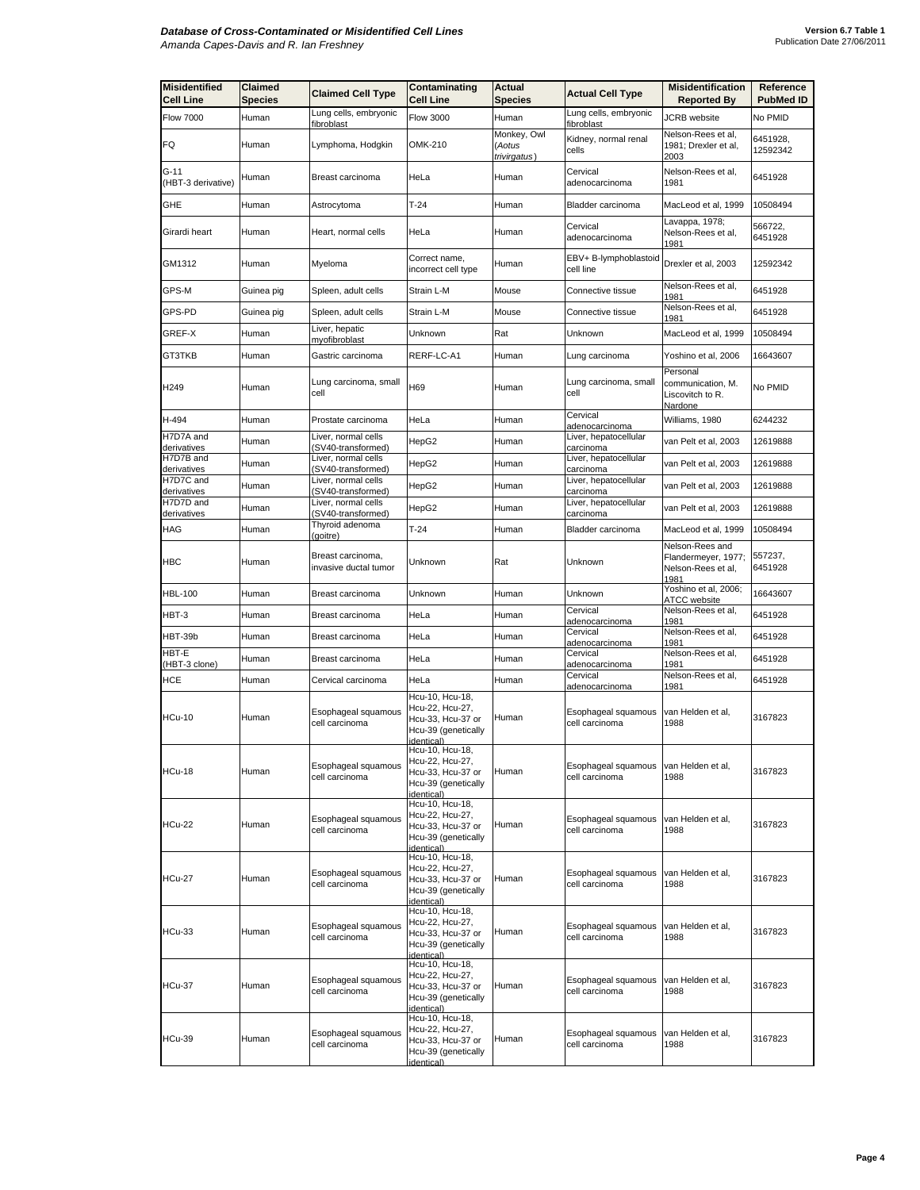| <b>Misidentified</b><br><b>Cell Line</b> | <b>Claimed</b><br>Species | <b>Claimed Cell Type</b>                   | Contaminating<br><b>Cell Line</b>                                                                   | <b>Actual</b><br><b>Species</b>       | <b>Actual Cell Type</b>               | <b>Misidentification</b><br><b>Reported By</b>                       | Reference<br><b>PubMed ID</b> |
|------------------------------------------|---------------------------|--------------------------------------------|-----------------------------------------------------------------------------------------------------|---------------------------------------|---------------------------------------|----------------------------------------------------------------------|-------------------------------|
| <b>Flow 7000</b>                         | Human                     | Lung cells, embryonic<br>fibroblast        | <b>Flow 3000</b>                                                                                    | Human                                 | Lung cells, embryonic<br>fibroblast   | <b>JCRB</b> website                                                  | No PMID                       |
| FQ                                       | Human                     | Lymphoma, Hodgkin                          | OMK-210                                                                                             | Monkey, Owl<br>(Aotus<br>trivirgatus) | Kidney, normal renal<br>cells         | Nelson-Rees et al.<br>1981; Drexler et al,<br>2003                   | 6451928,<br>12592342          |
| G-11<br>(HBT-3 derivative)               | Human                     | Breast carcinoma                           | HeLa                                                                                                | Human                                 | Cervical<br>adenocarcinoma            | Nelson-Rees et al,<br>1981                                           | 6451928                       |
| GHE                                      | Human                     | Astrocytoma                                | $T-24$                                                                                              | Human                                 | <b>Bladder carcinoma</b>              | MacLeod et al, 1999                                                  | 10508494                      |
| Girardi heart                            | Human                     | Heart, normal cells                        | HeLa                                                                                                | Human                                 | Cervical<br>adenocarcinoma            | Lavappa, 1978;<br>Nelson-Rees et al,<br>1981                         | 566722,<br>6451928            |
| GM1312                                   | Human                     | Myeloma                                    | Correct name.<br>incorrect cell type                                                                | Human                                 | EBV+ B-lymphoblastoid<br>cell line    | Drexler et al, 2003                                                  | 12592342                      |
| GPS-M                                    | Guinea pig                | Spleen, adult cells                        | Strain L-M                                                                                          | Mouse                                 | Connective tissue                     | Nelson-Rees et al,<br>1981                                           | 6451928                       |
| GPS-PD                                   | Guinea pig                | Spleen, adult cells                        | Strain L-M                                                                                          | Mouse                                 | Connective tissue                     | Nelson-Rees et al,<br>1981                                           | 6451928                       |
| GREF-X                                   | Human                     | Liver, hepatic<br>myofibroblast            | Unknown                                                                                             | Rat                                   | Unknown                               | MacLeod et al, 1999                                                  | 10508494                      |
| GT3TKB                                   | Human                     | Gastric carcinoma                          | RERF-LC-A1                                                                                          | Human                                 | Lung carcinoma                        | Yoshino et al, 2006                                                  | 16643607                      |
| H <sub>249</sub>                         | Human                     | Lung carcinoma, small<br>cell              | H69                                                                                                 | Human                                 | Lung carcinoma, small<br>cell         | Personal<br>communication, M.<br>Liscovitch to R.<br>Nardone         | No PMID                       |
| H-494                                    | Human                     | Prostate carcinoma                         | HeLa                                                                                                | Human                                 | Cervical<br>adenocarcinoma            | Williams, 1980                                                       | 6244232                       |
| H7D7A and<br>derivatives                 | Human                     | Liver, normal cells<br>(SV40-transformed)  | HepG2                                                                                               | Human                                 | Liver, hepatocellular<br>carcinoma    | van Pelt et al, 2003                                                 | 12619888                      |
| H7D7B and<br>derivatives                 | Human                     | Liver, normal cells<br>(SV40-transformed)  | HepG2                                                                                               | Human                                 | Liver, hepatocellular<br>carcinoma    | van Pelt et al, 2003                                                 | 12619888                      |
| H7D7C and<br>derivatives                 | Human                     | Liver, normal cells<br>(SV40-transformed)  | HepG2                                                                                               | Human                                 | Liver, hepatocellular<br>carcinoma    | van Pelt et al, 2003                                                 | 12619888                      |
| H7D7D and<br>derivatives                 | Human                     | Liver, normal cells<br>(SV40-transformed)  | HepG2                                                                                               | Human                                 | Liver, hepatocellular<br>carcinoma    | van Pelt et al, 2003                                                 | 12619888                      |
| HAG                                      | Human                     | Thyroid adenoma<br>(goitre)                | $T-24$                                                                                              | Human                                 | <b>Bladder carcinoma</b>              | MacLeod et al, 1999                                                  | 10508494                      |
| <b>HBC</b>                               | Human                     | Breast carcinoma,<br>invasive ductal tumor | Unknown                                                                                             | Rat                                   | Unknown                               | Nelson-Rees and<br>Flandermeyer, 1977;<br>Nelson-Rees et al,<br>1981 | 557237,<br>6451928            |
| <b>HBL-100</b>                           | Human                     | Breast carcinoma                           | Unknown                                                                                             | Human                                 | Unknown                               | Yoshino et al, 2006;<br>ATCC website                                 | 16643607                      |
| HBT-3                                    | Human                     | Breast carcinoma                           | HeLa                                                                                                | Human                                 | Cervical<br>adenocarcinoma            | Nelson-Rees et al,<br>1981                                           | 6451928                       |
| HBT-39b                                  | Human                     | Breast carcinoma                           | HeLa                                                                                                | Human                                 | Cervical<br>adenocarcinoma            | Nelson-Rees et al,<br>1981                                           | 6451928                       |
| HBT-E<br>(HBT-3 clone)                   | Human                     | Breast carcinoma                           | HeLa                                                                                                | Human                                 | Cervical<br>adenocarcinoma            | Nelson-Rees et al,<br>1981                                           | 6451928                       |
| HCE                                      | Human                     | Cervical carcinoma                         | HeLa                                                                                                | Human                                 | Cervical<br>adenocarcinoma            | Nelson-Rees et al.<br>1981                                           | 6451928                       |
| <b>HCu-10</b>                            | Human                     | Esophageal squamous<br>cell carcinoma      | Hcu-10, Hcu-18,<br>Hcu-22, Hcu-27,<br>Hcu-33, Hcu-37 or<br>Hcu-39 (genetically<br>identical)        | Human                                 | Esophageal squamous<br>cell carcinoma | van Helden et al,<br>1988                                            | 3167823                       |
| HCu-18                                   | Human                     | Esophageal squamous<br>cell carcinoma      | Hcu-10, Hcu-18,<br>Hcu-22, Hcu-27,<br>Hcu-33, Hcu-37 or<br>Hcu-39 (genetically<br>identical)        | Human                                 | Esophageal squamous<br>cell carcinoma | van Helden et al,<br>1988                                            | 3167823                       |
| <b>HCu-22</b>                            | Human                     | Esophageal squamous<br>cell carcinoma      | Hcu-10, Hcu-18,<br>Hcu-22, Hcu-27,<br>Hcu-33, Hcu-37 or<br>Hcu-39 (genetically<br>identical)        | Human                                 | Esophageal squamous<br>cell carcinoma | van Helden et al,<br>1988                                            | 3167823                       |
| <b>HCu-27</b>                            | Human                     | Esophageal squamous<br>cell carcinoma      | Hcu-10, Hcu-18,<br>Hcu-22, Hcu-27,<br>Hcu-33, Hcu-37 or<br>Hcu-39 (genetically<br>identical)        | Human                                 | Esophageal squamous<br>cell carcinoma | van Helden et al,<br>1988                                            | 3167823                       |
| <b>HCu-33</b>                            | Human                     | Esophageal squamous<br>cell carcinoma      | Hcu-10, Hcu-18,<br>Hcu-22, Hcu-27,<br>Hcu-33, Hcu-37 or<br>Hcu-39 (genetically<br><i>identical)</i> | Human                                 | Esophageal squamous<br>cell carcinoma | van Helden et al,<br>1988                                            | 3167823                       |
| <b>HCu-37</b>                            | Human                     | Esophageal squamous<br>cell carcinoma      | Hcu-10, Hcu-18,<br>Hcu-22, Hcu-27,<br>Hcu-33, Hcu-37 or<br>Hcu-39 (genetically<br><i>identical)</i> | Human                                 | Esophageal squamous<br>cell carcinoma | van Helden et al,<br>1988                                            | 3167823                       |
| <b>HCu-39</b>                            | Human                     | Esophageal squamous<br>cell carcinoma      | Hcu-10, Hcu-18,<br>Hcu-22, Hcu-27,<br>Hcu-33, Hcu-37 or<br>Hcu-39 (genetically<br>identical)        | Human                                 | Esophageal squamous<br>cell carcinoma | van Helden et al,<br>1988                                            | 3167823                       |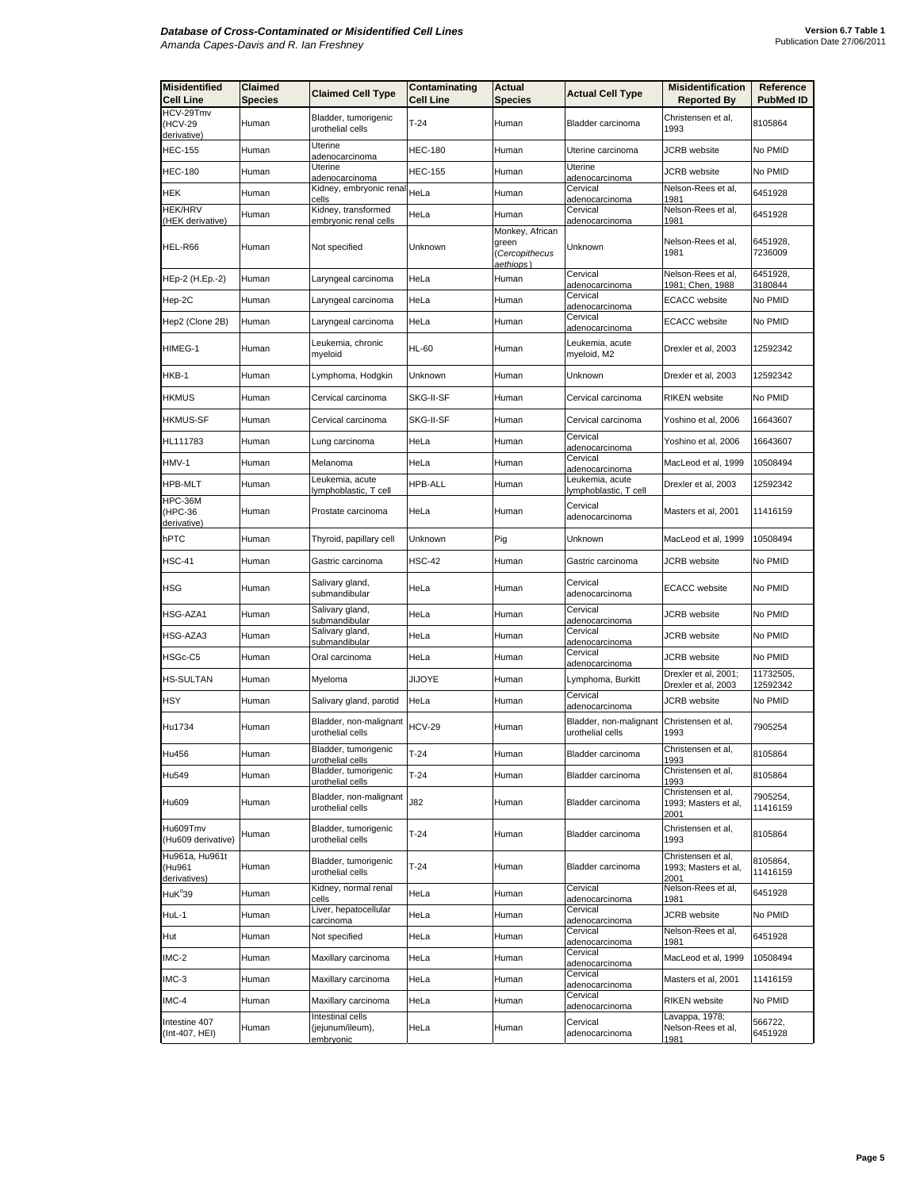| <b>Misidentified</b><br><b>Cell Line</b> | Claimed<br>Species | <b>Claimed Cell Type</b>                          | Contaminating<br>Cell Line | Actual<br><b>Species</b>                    | <b>Actual Cell Type</b>                  | <b>Misidentification</b><br><b>Reported By</b>     | Reference<br><b>PubMed ID</b> |
|------------------------------------------|--------------------|---------------------------------------------------|----------------------------|---------------------------------------------|------------------------------------------|----------------------------------------------------|-------------------------------|
| HCV-29Tmv<br>(HCV-29                     | Human              | Bladder, tumorigenic                              | $T-24$                     | Human                                       | Bladder carcinoma                        | Christensen et al,                                 | 8105864                       |
| derivative)                              |                    | urothelial cells                                  |                            |                                             |                                          | 1993                                               |                               |
| <b>HEC-155</b>                           | Human              | Uterine<br>adenocarcinoma                         | <b>HEC-180</b>             | Human                                       | Uterine carcinoma                        | JCRB website                                       | No PMID                       |
| <b>HEC-180</b>                           | Human              | Uterine<br>adenocarcinoma                         | <b>HEC-155</b>             | Human                                       | Uterine<br>adenocarcinoma                | <b>JCRB</b> website                                | No PMID                       |
| HEK                                      | Human              | Kidney, embryonic renal<br>cells                  | HeLa                       | Human                                       | Cervical<br>adenocarcinoma               | Nelson-Rees et al,<br>1981                         | 6451928                       |
| <b>HEK/HRV</b><br>(HEK derivative)       | Human              | Kidney, transformed<br>embryonic renal cells      | HeLa                       | Human                                       | Cervical<br>adenocarcinoma               | Nelson-Rees et al,<br>1981                         | 6451928                       |
|                                          |                    |                                                   |                            | Monkey, African                             |                                          |                                                    |                               |
| HEL-R66                                  | Human              | Not specified                                     | Unknown                    | green<br>(Cercopithecus<br><u>aethiops)</u> | Unknown                                  | Nelson-Rees et al,<br>1981                         | 6451928,<br>7236009           |
| HEp-2 (H.Ep.-2)                          | Human              | Laryngeal carcinoma                               | HeLa                       | Human                                       | Cervical<br>adenocarcinoma               | Nelson-Rees et al,<br>1981: Chen. 1988             | 6451928,<br>3180844           |
| Hep-2C                                   | Human              | Laryngeal carcinoma                               | HeLa                       | Human                                       | Cervical<br>adenocarcinoma               | <b>ECACC</b> website                               | No PMID                       |
| Hep2 (Clone 2B)                          | Human              | Laryngeal carcinoma                               | HeLa                       | Human                                       | Cervical<br>adenocarcinoma               | ECACC website                                      | No PMID                       |
| HIMEG-1                                  | Human              | Leukemia, chronic<br>myeloid                      | <b>HL-60</b>               | Human                                       | Leukemia, acute<br>myeloid, M2           | Drexler et al, 2003                                | 12592342                      |
| HKB-1                                    | Human              | Lymphoma, Hodgkin                                 | Unknown                    | Human                                       | Unknown                                  | Drexler et al. 2003                                | 12592342                      |
| HKMUS                                    | Human              | Cervical carcinoma                                | SKG-II-SF                  | Human                                       | Cervical carcinoma                       | <b>RIKEN</b> website                               | No PMID                       |
| <b>HKMUS-SF</b>                          | Human              | Cervical carcinoma                                | SKG-II-SF                  | Human                                       | Cervical carcinoma                       | Yoshino et al, 2006                                | 16643607                      |
| HL111783                                 | Human              | Lung carcinoma                                    | HeLa                       | Human                                       | Cervical<br>adenocarcinoma               | Yoshino et al, 2006                                | 16643607                      |
| HMV-1                                    | Human              | Melanoma                                          | HeLa                       | Human                                       | Cervical<br>adenocarcinoma               | MacLeod et al, 1999                                | 10508494                      |
| <b>HPB-MLT</b>                           | Human              | Leukemia, acute                                   | HPB-ALL                    | Human                                       | Leukemia, acute                          | Drexler et al, 2003                                | 12592342                      |
| HPC-36M                                  |                    | lymphoblastic, T cell                             |                            |                                             | lymphoblastic, T cell<br>Cervical        |                                                    |                               |
| (HPC-36<br>derivative)                   | Human              | Prostate carcinoma                                | HeLa                       | Human                                       | adenocarcinoma                           | Masters et al, 2001                                | 11416159                      |
| hPTC                                     | Human              | Thyroid, papillary cell                           | Unknown                    | Pig                                         | Unknown                                  | MacLeod et al, 1999                                | 10508494                      |
| <b>HSC-41</b>                            | Human              | Gastric carcinoma                                 | <b>HSC-42</b>              | Human                                       | Gastric carcinoma                        | <b>JCRB</b> website                                | No PMID                       |
| <b>HSG</b>                               | Human              | Salivary gland,<br>submandibular                  | HeLa                       | Human                                       | Cervical<br>adenocarcinoma               | <b>ECACC</b> website                               | No PMID                       |
| HSG-AZA1                                 | Human              | Salivary gland,<br>submandibular                  | HeLa                       | Human                                       | Cervical<br>adenocarcinoma               | <b>JCRB</b> website                                | No PMID                       |
| HSG-AZA3                                 | Human              | Salivary gland,<br>submandibular                  | HeLa                       | Human                                       | Cervical<br>adenocarcinoma               | JCRB website                                       | No PMID                       |
| HSGc-C5                                  | Human              | Oral carcinoma                                    | HeLa                       | Human                                       | Cervical<br>adenocarcinoma               | JCRB website                                       | No PMID                       |
| <b>HS-SULTAN</b>                         | Human              | Myeloma                                           | JIJOYE                     | Human                                       | Lymphoma, Burkitt                        | Drexler et al, 2001;                               | 11732505,                     |
| HSY                                      | Human              | Salivary gland, parotid                           | HeLa                       | Human                                       | Cervical                                 | Drexler et al, 2003<br>JCRB website                | 12592342<br>No PMID           |
|                                          |                    | Bladder, non-malignant                            |                            |                                             | adenocarcinoma<br>Bladder, non-malignant | Christensen et al,                                 |                               |
| Hu1734                                   | Human              | urothelial cells                                  | <b>HCV-29</b>              | Human                                       | urothelial cells                         | 1993                                               | 7905254                       |
| Hu456                                    | Human              | Bladder, tumorigenic<br>urothelial cells          | T-24                       | Human                                       | Bladder carcinoma                        | Christensen et al,<br>1993                         | 8105864                       |
| Hu549                                    | Human              | Bladder, tumorigenic<br>urothelial cells          | T-24                       | Human                                       | Bladder carcinoma                        | Christensen et al,<br>1993                         | 8105864                       |
| Hu609                                    | Human              | Bladder, non-malignant<br>urothelial cells        | J82                        | Human                                       | Bladder carcinoma                        | Christensen et al,<br>1993; Masters et al,<br>2001 | 7905254,<br>11416159          |
| Hu609Tmv<br>(Hu609 derivative)           | Human              | Bladder, tumorigenic<br>urothelial cells          | $T-24$                     | Human                                       | Bladder carcinoma                        | Christensen et al,<br>1993                         | 8105864                       |
| Hu961a, Hu961t<br>(Hu961<br>derivatives) | Human              | Bladder, tumorigenic<br>urothelial cells          | $T-24$                     | Human                                       | Bladder carcinoma                        | Christensen et al,<br>1993; Masters et al,<br>2001 | 8105864,<br>11416159          |
| HuK <sup>°</sup> 39                      | Human              | Kidney, normal renal<br>cells                     | HeLa                       | Human                                       | Cervical<br>adenocarcinoma               | Nelson-Rees et al,<br>1981                         | 6451928                       |
| HuL-1                                    | Human              | Liver, hepatocellular<br>carcinoma                | HeLa                       | Human                                       | Cervical<br>adenocarcinoma               | <b>JCRB</b> website                                | No PMID                       |
| Hut                                      | Human              | Not specified                                     | HeLa                       | Human                                       | Cervical<br>adenocarcinoma               | Nelson-Rees et al,<br>1981                         | 6451928                       |
| IMC-2                                    | Human              | Maxillary carcinoma                               | HeLa                       | Human                                       | Cervical<br>adenocarcinoma               | MacLeod et al, 1999                                | 10508494                      |
| IMC-3                                    | Human              | Maxillary carcinoma                               | HeLa                       | Human                                       | Cervical<br>adenocarcinoma               | Masters et al, 2001                                | 11416159                      |
| IMC-4                                    | Human              | Maxillary carcinoma                               | HeLa                       | Human                                       | Cervical<br>adenocarcinoma               | RIKEN website                                      | No PMID                       |
| Intestine 407<br>(Int-407, HEI)          | Human              | Intestinal cells<br>(jejunum/ileum),<br>embryonic | HeLa                       | Human                                       | Cervical<br>adenocarcinoma               | Lavappa, 1978;<br>Nelson-Rees et al,<br>1981       | 566722,<br>6451928            |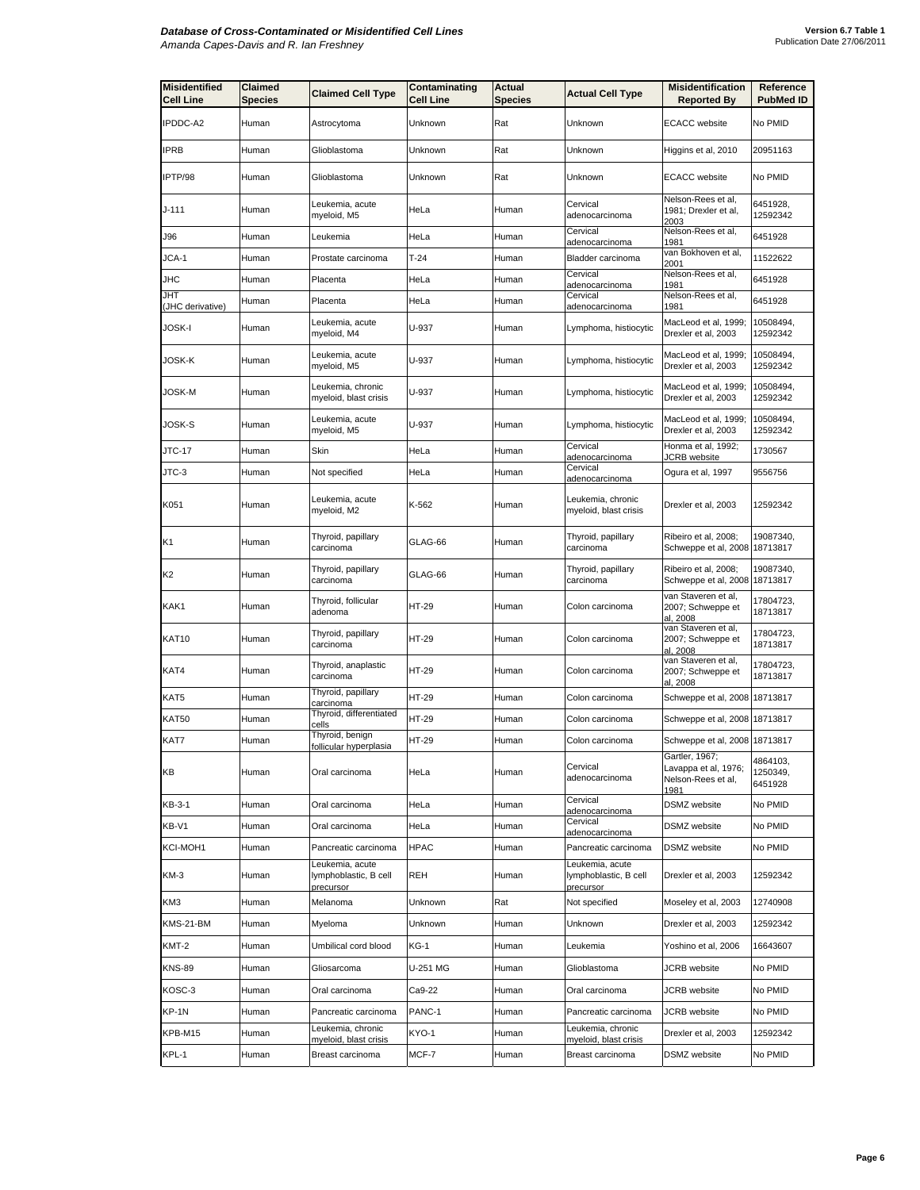| <b>Misidentified</b><br><b>Cell Line</b> | Claimed<br><b>Species</b> | <b>Claimed Cell Type</b>                              | Contaminating<br>Cell Line | Actual<br><b>Species</b> | <b>Actual Cell Type</b>                               | <b>Misidentification</b><br><b>Reported By</b>                                | Reference<br><b>PubMed ID</b>   |
|------------------------------------------|---------------------------|-------------------------------------------------------|----------------------------|--------------------------|-------------------------------------------------------|-------------------------------------------------------------------------------|---------------------------------|
| IPDDC-A2                                 | Human                     | Astrocytoma                                           | Unknown                    | Rat                      | Unknown                                               | <b>ECACC</b> website                                                          | No PMID                         |
| IPRB                                     | Human                     | Glioblastoma                                          | Unknown                    | Rat                      | Unknown                                               | Higgins et al, 2010                                                           | 20951163                        |
| IPTP/98                                  | Human                     | Glioblastoma                                          | Unknown                    | Rat                      | Unknown                                               | <b>ECACC</b> website                                                          | No PMID                         |
| J-111                                    | Human                     | Leukemia, acute<br>myeloid, M5                        | HeLa                       | Human                    | Cervical<br>adenocarcinoma                            | Nelson-Rees et al,<br>1981; Drexler et al.<br>2003                            | 6451928,<br>12592342            |
| J96                                      | Human                     | Leukemia                                              | HeLa                       | Human                    | Cervical<br><u>adenocarcinoma</u>                     | Nelson-Rees et al,<br>1981                                                    | 6451928                         |
| JCA-1                                    | Human                     | Prostate carcinoma                                    | $T-24$                     | Human                    | Bladder carcinoma                                     | van Bokhoven et al,<br>2001                                                   | 11522622                        |
| JHC                                      | Human                     | Placenta                                              | HeLa                       | Human                    | Cervical<br>adenocarcinoma                            | Nelson-Rees et al,<br>1981                                                    | 6451928                         |
| JHT<br>(JHC derivative)                  | Human                     | Placenta                                              | HeLa                       | Human                    | Cervical<br>adenocarcinoma                            | Nelson-Rees et al,<br>1981                                                    | 6451928                         |
| JOSK-I                                   | Human                     | Leukemia, acute<br>myeloid, M4                        | U-937                      | Human                    | Lymphoma, histiocytic                                 | MacLeod et al, 1999;<br>Drexler et al, 2003                                   | 10508494,<br>12592342           |
| JOSK-K                                   | Human                     | Leukemia, acute<br>myeloid, M5                        | U-937                      | Human                    | Lymphoma, histiocytic                                 | MacLeod et al, 1999;<br>Drexler et al, 2003                                   | 10508494,<br>12592342           |
| JOSK-M                                   | Human                     | Leukemia, chronic<br>myeloid, blast crisis            | U-937                      | Human                    | Lymphoma, histiocytic                                 | MacLeod et al, 1999;<br>Drexler et al, 2003                                   | 10508494,<br>12592342           |
| JOSK-S                                   | Human                     | Leukemia, acute<br>myeloid, M5                        | U-937                      | Human                    | Lymphoma, histiocytic                                 | MacLeod et al, 1999;<br>Drexler et al, 2003                                   | 10508494,<br>12592342           |
| JTC-17                                   | Human                     | Skin                                                  | HeLa                       | Human                    | Cervical<br>adenocarcinoma                            | Honma et al, 1992;<br><b>JCRB</b> website                                     | 1730567                         |
| JTC-3                                    | Human                     | Not specified                                         | HeLa                       | Human                    | Cervical<br>adenocarcinoma                            | Ogura et al, 1997                                                             | 9556756                         |
| K051                                     | Human                     | Leukemia, acute<br>myeloid, M2                        | K-562                      | Human                    | Leukemia, chronic<br>myeloid, blast crisis            | Drexler et al, 2003                                                           | 12592342                        |
| K1                                       | Human                     | Thyroid, papillary<br>carcinoma                       | GLAG-66                    | Human                    | Thyroid, papillary<br>carcinoma                       | Ribeiro et al, 2008;<br>Schweppe et al, 2008                                  | 19087340,<br>18713817           |
| K2                                       | Human                     | Thyroid, papillary<br>carcinoma                       | GLAG-66                    | Human                    | Thyroid, papillary<br>carcinoma                       | Ribeiro et al, 2008;<br>Schweppe et al, 2008 18713817                         | 19087340,                       |
| KAK1                                     | Human                     | Thyroid, follicular<br>adenoma                        | HT-29                      | Human                    | Colon carcinoma                                       | van Staveren et al,<br>2007; Schweppe et<br>al, 2008                          | 17804723,<br>18713817           |
| KAT10                                    | Human                     | Thyroid, papillary<br>carcinoma                       | HT-29                      | Human                    | Colon carcinoma                                       | van Staveren et al,<br>2007; Schweppe et<br>al, 2008                          | 17804723,<br>18713817           |
| KAT4                                     | Human                     | Thyroid, anaplastic<br>carcinoma                      | HT-29                      | Human                    | Colon carcinoma                                       | van Staveren et al,<br>2007; Schweppe et<br>al. 2008                          | 17804723,<br>18713817           |
| KAT5                                     | Human                     | Thyroid, papillary<br>carcinoma                       | HT-29                      | Human                    | Colon carcinoma                                       | Schweppe et al, 2008 18713817                                                 |                                 |
| KAT50                                    | Human                     | Thyroid, differentiated<br>cells                      | HT-29                      | Human                    | Colon carcinoma                                       | Schweppe et al, 2008 18713817                                                 |                                 |
| KAT7                                     | Human                     | Thyroid, benign<br>follicular hyperplasia             | HT-29                      | Human                    | Colon carcinoma                                       | Schweppe et al, 2008 18713817                                                 |                                 |
| KВ                                       | Human                     | Oral carcinoma                                        | HeLa                       | Human                    | Cervical<br>adenocarcinoma                            | Gartler, 1967;<br>Lavappa et al, 1976;<br>Nelson-Rees et al,<br><u> 1981 </u> | 4864103,<br>1250349,<br>6451928 |
| KB-3-1                                   | Human                     | Oral carcinoma                                        | HeLa                       | Human                    | Cervical<br>adenocarcinoma                            | <b>DSMZ</b> website                                                           | No PMID                         |
| KB-V1                                    | Human                     | Oral carcinoma                                        | HeLa                       | Human                    | Cervical<br>adenocarcinoma                            | DSMZ website                                                                  | No PMID                         |
| KCI-MOH1                                 | Human                     | Pancreatic carcinoma                                  | HPAC                       | Human                    | Pancreatic carcinoma                                  | DSMZ website                                                                  | No PMID                         |
| KM-3                                     | Human                     | Leukemia, acute<br>lymphoblastic, B cell<br>precursor | REH                        | Human                    | Leukemia, acute<br>lymphoblastic, B cell<br>precursor | Drexler et al, 2003                                                           | 12592342                        |
| KM3                                      | Human                     | Melanoma                                              | Unknown                    | Rat                      | Not specified                                         | Moseley et al, 2003                                                           | 12740908                        |
| KMS-21-BM                                | Human                     | Myeloma                                               | Unknown                    | Human                    | Unknown                                               | Drexler et al, 2003                                                           | 12592342                        |
| KMT-2                                    | Human                     | Umbilical cord blood                                  | KG-1                       | Human                    | Leukemia                                              | Yoshino et al, 2006                                                           | 16643607                        |
| <b>KNS-89</b>                            | Human                     | Gliosarcoma                                           | U-251 MG                   | Human                    | Glioblastoma                                          | JCRB website                                                                  | No PMID                         |
| KOSC-3                                   | Human                     | Oral carcinoma                                        | Ca9-22                     | Human                    | Oral carcinoma                                        | <b>JCRB</b> website                                                           | No PMID                         |
| KP-1N                                    | Human                     | Pancreatic carcinoma                                  | PANC-1                     | Human                    | Pancreatic carcinoma                                  | JCRB website                                                                  | No PMID                         |
| KPB-M15                                  | Human                     | Leukemia, chronic<br>myeloid, blast crisis            | KYO-1                      | Human                    | Leukemia, chronic<br>myeloid, blast crisis            | Drexler et al, 2003                                                           | 12592342                        |
| KPL-1                                    | Human                     | Breast carcinoma                                      | MCF-7                      | Human                    | Breast carcinoma                                      | DSMZ website                                                                  | No PMID                         |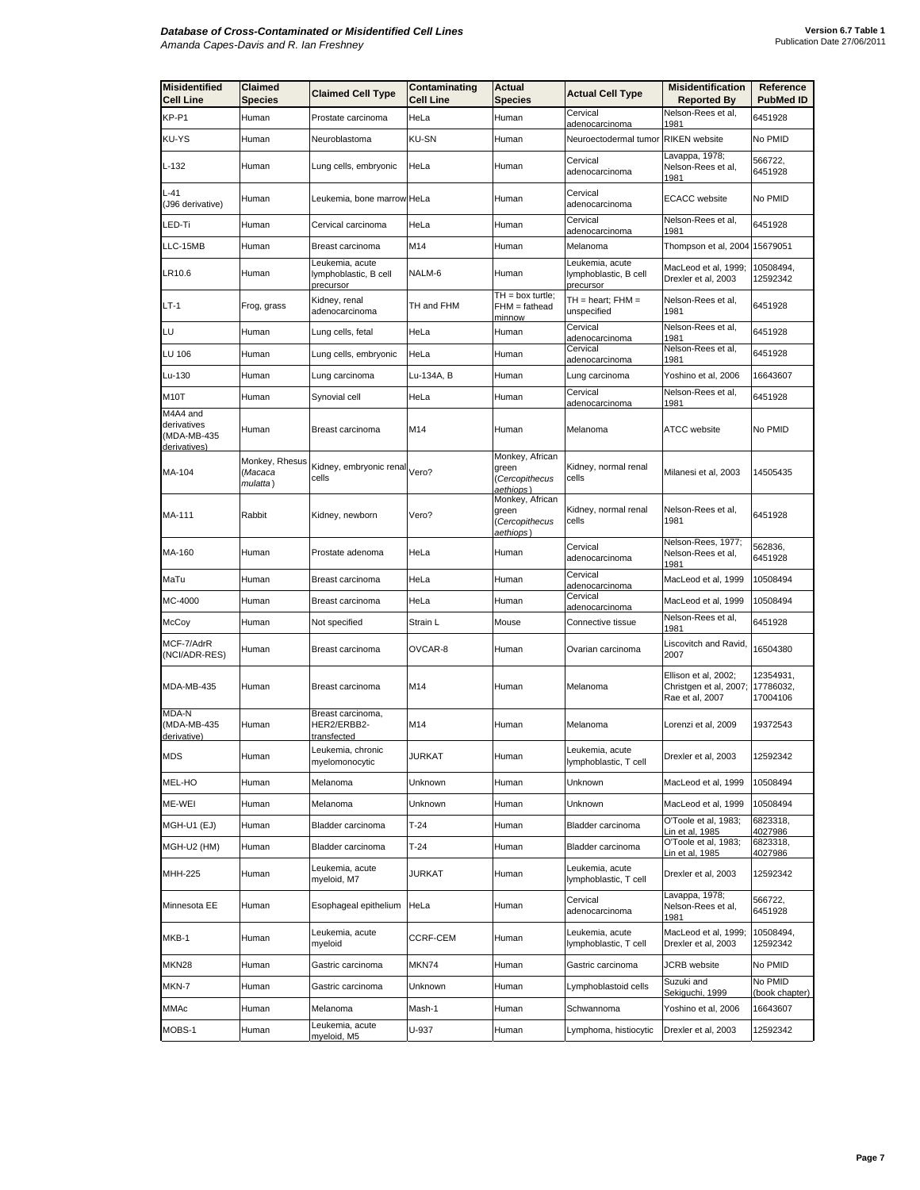| <b>Misidentified</b><br><b>Cell Line</b>               | Claimed<br><b>Species</b>             | <b>Claimed Cell Type</b>                              | Contaminating<br><b>Cell Line</b> | Actual<br><b>Species</b>                                | <b>Actual Cell Type</b>                               | <b>Misidentification</b><br><b>Reported By</b>                    | Reference<br><b>PubMed ID</b>      |
|--------------------------------------------------------|---------------------------------------|-------------------------------------------------------|-----------------------------------|---------------------------------------------------------|-------------------------------------------------------|-------------------------------------------------------------------|------------------------------------|
| KP-P1                                                  | Human                                 | Prostate carcinoma                                    | HeLa                              | Human                                                   | Cervical<br>adenocarcinoma                            | Nelson-Rees et al,<br>1981                                        | 6451928                            |
| KU-YS                                                  | Human                                 | Neuroblastoma                                         | <b>KU-SN</b>                      | Human                                                   | Neuroectodermal tumor                                 | <b>RIKEN</b> website                                              | No PMID                            |
| L-132                                                  | Human                                 | Lung cells, embryonic                                 | HeLa                              | Human                                                   | Cervical<br>adenocarcinoma                            | Lavappa, 1978;<br>Nelson-Rees et al,<br>1981                      | 566722,<br>6451928                 |
| L-41<br>(J96 derivative)                               | Human                                 | Leukemia, bone marrow HeLa                            |                                   | Human                                                   | Cervical<br>adenocarcinoma                            | <b>ECACC</b> website                                              | No PMID                            |
| LED-Ti                                                 | Human                                 | Cervical carcinoma                                    | HeLa                              | Human                                                   | Cervical<br>adenocarcinoma                            | Nelson-Rees et al,<br>1981                                        | 6451928                            |
| LLC-15MB                                               | Human                                 | Breast carcinoma                                      | M14                               | Human                                                   | Melanoma                                              | Thompson et al, 2004                                              | 15679051                           |
| LR10.6                                                 | Human                                 | Leukemia, acute<br>lymphoblastic, B cell<br>precursor | NALM-6                            | Human                                                   | Leukemia, acute<br>lymphoblastic, B cell<br>precursor | MacLeod et al, 1999;<br>Drexler et al, 2003                       | 10508494,<br>12592342              |
| LT-1                                                   | Frog, grass                           | Kidney, renal<br>adenocarcinoma                       | TH and FHM                        | $TH = box$ turtle;<br>FHM = fathead<br>minnow           | TH = heart; FHM =<br>unspecified                      | Nelson-Rees et al,<br>1981                                        | 6451928                            |
| LU                                                     | Human                                 | Lung cells, fetal                                     | HeLa                              | Human                                                   | Cervical<br>adenocarcinoma                            | Nelson-Rees et al,<br>1981                                        | 6451928                            |
| LU 106                                                 | Human                                 | Lung cells, embryonic                                 | HeLa                              | Human                                                   | Cervical<br>adenocarcinoma                            | Nelson-Rees et al,<br>1981                                        | 6451928                            |
| Lu-130                                                 | Human                                 | Lung carcinoma                                        | Lu-134A, B                        | Human                                                   | Lung carcinoma                                        | Yoshino et al, 2006                                               | 16643607                           |
| M10T                                                   | Human                                 | Synovial cell                                         | HeLa                              | Human                                                   | Cervical<br><u>adenocarcinoma</u>                     | Nelson-Rees et al,<br>1981                                        | 6451928                            |
| M4A4 and<br>derivatives<br>(MDA-MB-435<br>derivatives) | Human                                 | Breast carcinoma                                      | M14                               | Human                                                   | Melanoma                                              | <b>ATCC</b> website                                               | No PMID                            |
| MA-104                                                 | Monkey, Rhesus<br>(Macaca<br>mulatta) | Kidney, embryonic renal<br>cells                      | Vero?                             | Monkey, African<br>green<br>(Cercopithecus<br>aethiops) | Kidney, normal renal<br>cells                         | Milanesi et al, 2003                                              | 14505435                           |
| MA-111                                                 | Rabbit                                | Kidney, newborn                                       | Vero?                             | Monkey, African<br>green<br>Cercopithecus<br>aethiops)  | Kidney, normal renal<br>cells                         | Nelson-Rees et al,<br>1981                                        | 6451928                            |
| MA-160                                                 | Human                                 | Prostate adenoma                                      | HeLa                              | Human                                                   | Cervical<br>adenocarcinoma                            | Nelson-Rees, 1977;<br>Nelson-Rees et al,<br><u> 1981</u>          | 562836,<br>6451928                 |
| MaTu                                                   | Human                                 | Breast carcinoma                                      | HeLa                              | Human                                                   | Cervical<br>adenocarcinoma                            | MacLeod et al, 1999                                               | 10508494                           |
| MC-4000                                                | Human                                 | Breast carcinoma                                      | HeLa                              | Human                                                   | Cervical<br>adenocarcinoma                            | MacLeod et al, 1999                                               | 10508494                           |
| McCoy                                                  | Human                                 | Not specified                                         | Strain L                          | Mouse                                                   | Connective tissue                                     | Nelson-Rees et al,<br>1981                                        | 6451928                            |
| MCF-7/AdrR<br>(NCI/ADR-RES)                            | Human                                 | Breast carcinoma                                      | OVCAR-8                           | Human                                                   | Ovarian carcinoma                                     | Liscovitch and Ravid,<br>2007                                     | 16504380                           |
| MDA-MB-435                                             | Human                                 | Breast carcinoma                                      | M14                               | Human                                                   | Melanoma                                              | Ellison et al, 2002;<br>Christgen et al, 2007;<br>Rae et al, 2007 | 12354931,<br>17786032,<br>17004106 |
| MDA-N<br>(MDA-MB-435<br>derivative)                    | Human                                 | Breast carcinoma,<br>HER2/ERBB2-<br>transfected       | M14                               | Human                                                   | Melanoma                                              | Lorenzi et al, 2009                                               | 19372543                           |
| MDS                                                    | Human                                 | Leukemia, chronic<br>myelomonocytic                   | JURKAT                            | Human                                                   | Leukemia, acute<br>lymphoblastic, T cell              | Drexler et al, 2003                                               | 12592342                           |
| MEL-HO                                                 | Human                                 | Melanoma                                              | Unknown                           | Human                                                   | Unknown                                               | MacLeod et al, 1999                                               | 10508494                           |
| ME-WEI                                                 | Human                                 | Melanoma                                              | Unknown                           | Human                                                   | Unknown                                               | MacLeod et al, 1999                                               | 10508494                           |
| MGH-U1 (EJ)                                            | Human                                 | Bladder carcinoma                                     | $T-24$                            | Human                                                   | Bladder carcinoma                                     | O'Toole et al, 1983;<br>in et al, 1985                            | 6823318,<br>4027986                |
| MGH-U2 (HM)                                            | Human                                 | Bladder carcinoma                                     | T-24                              | Human                                                   | Bladder carcinoma                                     | O'Toole et al, 1983;<br>in et al, 1985                            | 6823318,<br>4027986                |
| MHH-225                                                | Human                                 | Leukemia, acute<br>myeloid, M7                        | JURKAT                            | Human                                                   | Leukemia, acute<br>lymphoblastic, T cell              | Drexler et al, 2003                                               | 12592342                           |
| Minnesota EE                                           | Human                                 | Esophageal epithelium                                 | HeLa                              | Human                                                   | Cervical<br>adenocarcinoma                            | Lavappa, 1978;<br>Nelson-Rees et al,<br>1981                      | 566722,<br>6451928                 |
| MKB-1                                                  | Human                                 | Leukemia, acute<br>myeloid                            | CCRF-CEM                          | Human                                                   | Leukemia, acute<br>lymphoblastic, T cell              | MacLeod et al, 1999;<br>Drexler et al, 2003                       | 10508494,<br>12592342              |
| MKN28                                                  | Human                                 | Gastric carcinoma                                     | MKN74                             | Human                                                   | Gastric carcinoma                                     | JCRB website                                                      | No PMID                            |
| MKN-7                                                  | Human                                 | Gastric carcinoma                                     | Unknown                           | Human                                                   | Lymphoblastoid cells                                  | Suzuki and<br>Sekiguchi, 1999                                     | No PMID<br>(book chapter)          |
| MMAc                                                   | Human                                 | Melanoma                                              | Mash-1                            | Human                                                   | Schwannoma                                            | Yoshino et al, 2006                                               | 16643607                           |
| MOBS-1                                                 | Human                                 | Leukemia, acute<br>myeloid, M5                        | U-937                             | Human                                                   | Lymphoma, histiocytic                                 | Drexler et al, 2003                                               | 12592342                           |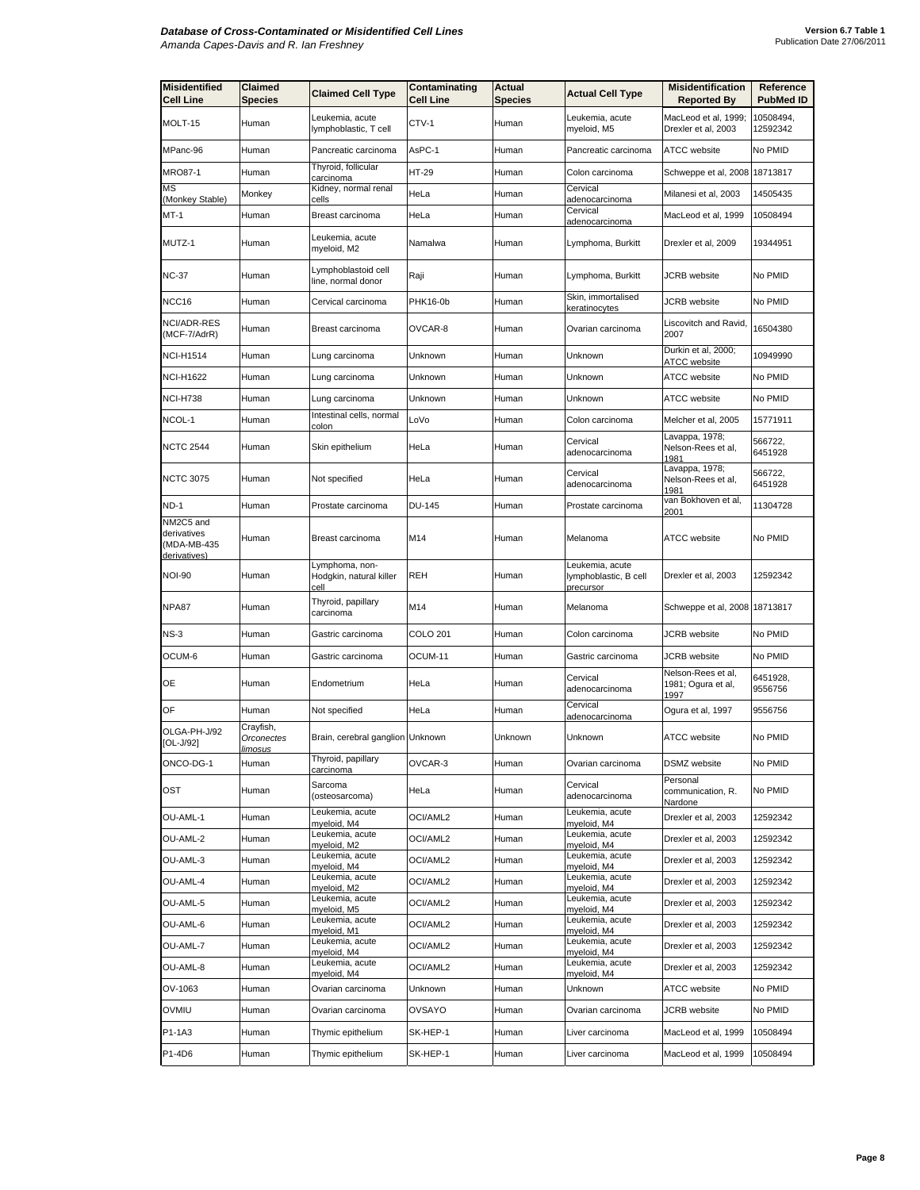| <b>Misidentified</b><br><b>Cell Line</b>                | Claimed<br><b>Species</b>          | <b>Claimed Cell Type</b>                          | Contaminating<br><b>Cell Line</b> | Actual<br><b>Species</b> | <b>Actual Cell Type</b>                               | <b>Misidentification</b><br><b>Reported By</b>   | Reference<br><b>PubMed ID</b> |
|---------------------------------------------------------|------------------------------------|---------------------------------------------------|-----------------------------------|--------------------------|-------------------------------------------------------|--------------------------------------------------|-------------------------------|
| MOLT-15                                                 | Human                              | Leukemia, acute<br>lymphoblastic, T cell          | CTV-1                             | Human                    | Leukemia, acute<br>myeloid, M5                        | MacLeod et al, 1999;<br>Drexler et al, 2003      | 10508494,<br>12592342         |
| MPanc-96                                                | Human                              | Pancreatic carcinoma                              | AsPC-1                            | Human                    | Pancreatic carcinoma                                  | ATCC website                                     | No PMID                       |
| MRO87-1                                                 | Human                              | Thyroid, follicular<br>carcinoma                  | HT-29                             | Human                    | Colon carcinoma                                       | Schweppe et al, 2008 18713817                    |                               |
| MS<br>(Monkey Stable)                                   | Monkey                             | Kidney, normal renal<br>cells                     | HeLa                              | Human                    | Cervical<br>adenocarcinoma                            | Milanesi et al, 2003                             | 14505435                      |
| MT-1                                                    | Human                              | Breast carcinoma                                  | HeLa                              | Human                    | Cervical<br>adenocarcinoma                            | MacLeod et al, 1999                              | 10508494                      |
| MUTZ-1                                                  | Human                              | Leukemia, acute<br>myeloid, M2                    | Namalwa                           | Human                    | Lymphoma, Burkitt                                     | Drexler et al, 2009                              | 19344951                      |
| NC-37                                                   | Human                              | Lymphoblastoid cell<br>line, normal donor         | Raji                              | Human                    | Lymphoma, Burkitt                                     | <b>JCRB</b> website                              | No PMID                       |
| NCC16                                                   | Human                              | Cervical carcinoma                                | PHK16-0b                          | Human                    | Skin, immortalised<br>keratinocytes                   | <b>JCRB</b> website                              | No PMID                       |
| NCI/ADR-RES<br>(MCF-7/AdrR)                             | Human                              | Breast carcinoma                                  | OVCAR-8                           | Human                    | Ovarian carcinoma                                     | Liscovitch and Ravid,<br>2007                    | 16504380                      |
| <b>NCI-H1514</b>                                        | Human                              | Lung carcinoma                                    | Unknown                           | Human                    | Unknown                                               | Durkin et al, 2000;<br>ATCC website              | 10949990                      |
| <b>NCI-H1622</b>                                        | Human                              | Lung carcinoma                                    | Unknown                           | Human                    | Unknown                                               | ATCC website                                     | No PMID                       |
| <b>NCI-H738</b>                                         | Human                              | Lung carcinoma                                    | Unknown                           | Human                    | Unknown                                               | ATCC website                                     | No PMID                       |
| NCOL-1                                                  | Human                              | Intestinal cells, normal<br>colon                 | LoVo                              | Human                    | Colon carcinoma                                       | Melcher et al, 2005                              | 15771911                      |
| <b>NCTC 2544</b>                                        | Human                              | Skin epithelium                                   | HeLa                              | Human                    | Cervical<br>adenocarcinoma                            | Lavappa, 1978;<br>Nelson-Rees et al,<br>1981     | 566722,<br>6451928            |
| <b>NCTC 3075</b>                                        | Human                              | Not specified                                     | HeLa                              | Human                    | Cervical<br>adenocarcinoma                            | Lavappa, 1978;<br>Nelson-Rees et al,<br>1981     | 566722,<br>6451928            |
| <b>ND-1</b>                                             | Human                              | Prostate carcinoma                                | <b>DU-145</b>                     | Human                    | Prostate carcinoma                                    | van Bokhoven et al,<br>2001                      | 11304728                      |
| NM2C5 and<br>derivatives<br>(MDA-MB-435<br>derivatives) | Human                              | Breast carcinoma                                  | M14                               | Human                    | Melanoma                                              | <b>ATCC</b> website                              | No PMID                       |
| <b>NOI-90</b>                                           | Human                              | Lymphoma, non-<br>Hodgkin, natural killer<br>cell | <b>REH</b>                        | Human                    | Leukemia, acute<br>lymphoblastic, B cell<br>precursor | Drexler et al, 2003                              | 12592342                      |
| NPA87                                                   | Human                              | Thyroid, papillary<br>carcinoma                   | M14                               | Human                    | Melanoma                                              | Schweppe et al, 2008 18713817                    |                               |
| $NS-3$                                                  | Human                              | Gastric carcinoma                                 | COLO 201                          | Human                    | Colon carcinoma                                       | JCRB website                                     | No PMID                       |
| OCUM-6                                                  | Human                              | Gastric carcinoma                                 | OCUM-11                           | Human                    | Gastric carcinoma                                     | <b>JCRB</b> website                              | No PMID                       |
| OE                                                      | Human                              | Endometrium                                       | HeLa                              | Human                    | Cervical<br>adenocarcinoma                            | Nelson-Rees et al,<br>1981; Ogura et al,<br>1997 | 6451928,<br>9556756           |
| OF                                                      | Human                              | Not specified                                     | HeLa                              | Human                    | Cervical<br>adenocarcinoma                            | Ogura et al, 1997                                | 9556756                       |
| OLGA-PH-J/92<br>$[OL-J/92]$                             | Crayfish,<br>Orconectes<br>limosus | Brain, cerebral ganglion Unknown                  |                                   | Unknown                  | Unknown                                               | <b>ATCC</b> website                              | No PMID                       |
| ONCO-DG-1                                               | Human                              | Thyroid, papillary<br>carcinoma                   | OVCAR-3                           | Human                    | Ovarian carcinoma                                     | DSMZ website                                     | No PMID                       |
| OST                                                     | Human                              | Sarcoma<br>(osteosarcoma)                         | HeLa                              | Human                    | Cervical<br>adenocarcinoma                            | Personal<br>communication, R.<br>Nardone         | No PMID                       |
| OU-AML-1                                                | Human                              | Leukemia, acute<br>myeloid, M4                    | OCI/AML2                          | Human                    | Leukemia, acute<br>myeloid, M4                        | Drexler et al, 2003                              | 12592342                      |
| OU-AML-2                                                | Human                              | Leukemia, acute<br>myeloid, M2                    | OCI/AML2                          | Human                    | Leukemia, acute<br>myeloid, M4                        | Drexler et al, 2003                              | 12592342                      |
| OU-AML-3                                                | Human                              | Leukemia, acute<br>myeloid, M4                    | OCI/AML2                          | Human                    | Leukemia, acute<br>myeloid, M4                        | Drexler et al, 2003                              | 12592342                      |
| OU-AML-4                                                | Human                              | Leukemia, acute<br>mveloid. M2                    | OCI/AML2                          | Human                    | Leukemia, acute<br>myeloid, M4                        | Drexler et al, 2003                              | 12592342                      |
| OU-AML-5                                                | Human                              | Leukemia, acute<br>myeloid, M5                    | OCI/AML2                          | Human                    | Leukemia, acute<br>myeloid, M4                        | Drexler et al, 2003                              | 12592342                      |
| OU-AML-6                                                | Human                              | Leukemia, acute<br>myeloid, M1                    | OCI/AML2                          | Human                    | Leukemia, acute<br>myeloid, M4                        | Drexler et al, 2003                              | 12592342                      |
| OU-AML-7                                                | Human                              | Leukemia, acute<br>myeloid, M4                    | OCI/AML2                          | Human                    | eukemia, acute<br>myeloid, M4                         | Drexler et al, 2003                              | 12592342                      |
| OU-AML-8                                                | Human                              | Leukemia, acute<br>myeloid, M4                    | OCI/AML2                          | Human                    | Leukemia, acute<br>myeloid, M4                        | Drexler et al, 2003                              | 12592342                      |
| OV-1063                                                 | Human                              | Ovarian carcinoma                                 | Unknown                           | Human                    | Unknown                                               | ATCC website                                     | No PMID                       |
| OVMIU                                                   | Human                              | Ovarian carcinoma                                 | <b>OVSAYO</b>                     | Human                    | Ovarian carcinoma                                     | JCRB website                                     | No PMID                       |
| P1-1A3                                                  | Human                              | Thymic epithelium                                 | SK-HEP-1                          | Human                    | Liver carcinoma                                       | MacLeod et al, 1999                              | 10508494                      |
| P1-4D6                                                  | Human                              | Thymic epithelium                                 | SK-HEP-1                          | Human                    | Liver carcinoma                                       | MacLeod et al, 1999                              | 10508494                      |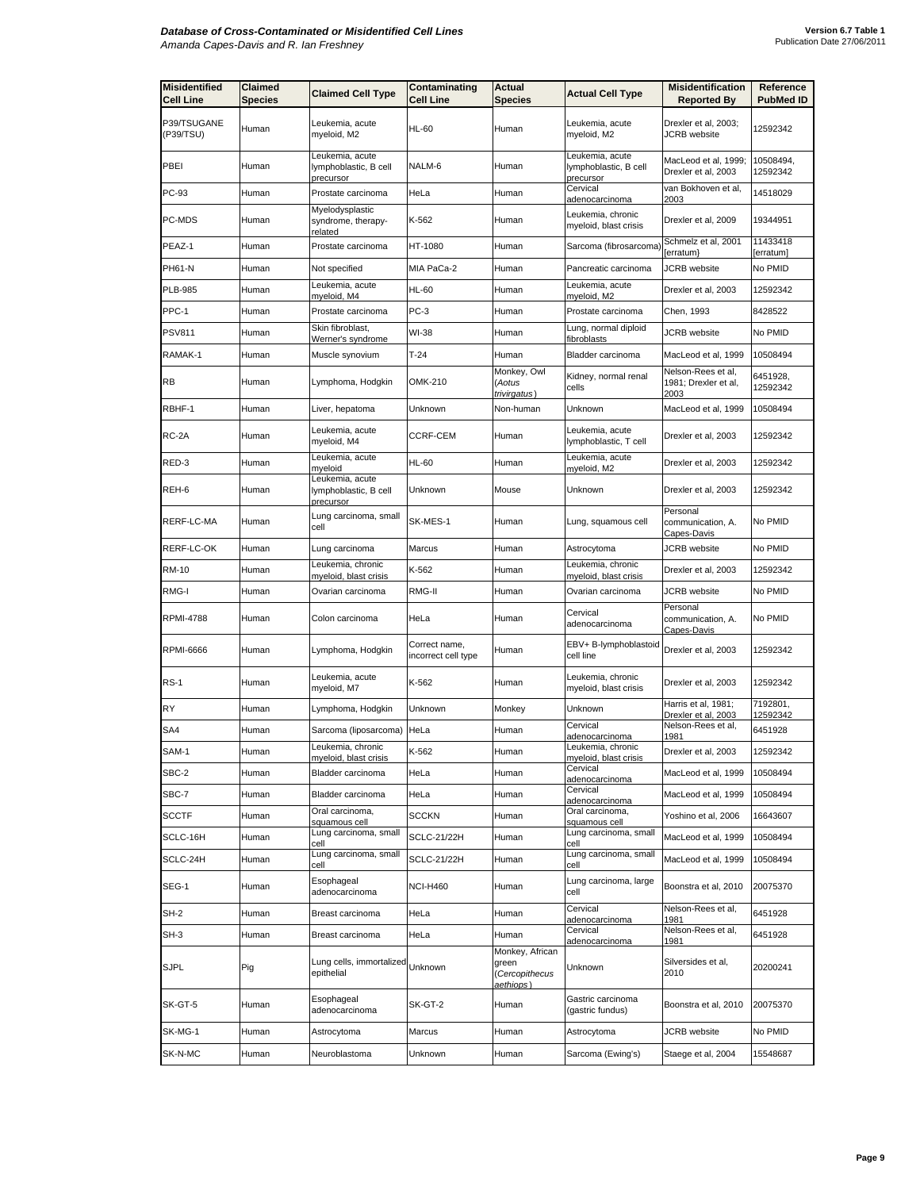| <b>Misidentified</b><br><b>Cell Line</b> | <b>Claimed</b><br>Species | <b>Claimed Cell Type</b>                              | Contaminating<br>Cell Line           | <b>Actual</b><br><b>Species</b>                         | <b>Actual Cell Type</b>                               | <b>Misidentification</b><br><b>Reported By</b>     | Reference<br><b>PubMed ID</b> |
|------------------------------------------|---------------------------|-------------------------------------------------------|--------------------------------------|---------------------------------------------------------|-------------------------------------------------------|----------------------------------------------------|-------------------------------|
| P39/TSUGANE<br>(P39/TSU)                 | Human                     | Leukemia, acute<br>myeloid, M2                        | <b>HL-60</b>                         | Human                                                   | Leukemia, acute<br>myeloid, M2                        | Drexler et al, 2003;<br><b>JCRB</b> website        | 12592342                      |
| PBEI                                     | Human                     | Leukemia, acute<br>lymphoblastic, B cell<br>precursor | NALM-6                               | Human                                                   | Leukemia, acute<br>lymphoblastic, B cell<br>precursor | MacLeod et al, 1999;<br>Drexler et al, 2003        | 10508494,<br>12592342         |
| PC-93                                    | Human                     | Prostate carcinoma                                    | HeLa                                 | Human                                                   | Cervical<br>adenocarcinoma                            | van Bokhoven et al,<br>2003                        | 14518029                      |
| PC-MDS                                   | Human                     | Myelodysplastic<br>syndrome, therapy-<br>related      | K-562                                | Human                                                   | Leukemia, chronic<br>myeloid, blast crisis            | Drexler et al, 2009                                | 19344951                      |
| PEAZ-1                                   | Human                     | Prostate carcinoma                                    | HT-1080                              | Human                                                   | Sarcoma (fibrosarcoma)                                | Schmelz et al, 2001<br>[erratum}                   | 11433418<br>[erratum]         |
| PH61-N                                   | Human                     | Not specified                                         | MIA PaCa-2                           | Human                                                   | Pancreatic carcinoma                                  | JCRB website                                       | No PMID                       |
| <b>PLB-985</b>                           | Human                     | Leukemia, acute<br>myeloid, M4                        | <b>HL-60</b>                         | Human                                                   | Leukemia, acute<br>myeloid, M2                        | Drexler et al, 2003                                | 12592342                      |
| PPC-1                                    | Human                     | Prostate carcinoma                                    | $PC-3$                               | Human                                                   | Prostate carcinoma                                    | Chen, 1993                                         | 8428522                       |
| <b>PSV811</b>                            | Human                     | Skin fibroblast,<br>Werner's syndrome                 | WI-38                                | Human                                                   | Lung, normal diploid<br>fibroblasts                   | <b>JCRB</b> website                                | No PMID                       |
| RAMAK-1                                  | Human                     | Muscle synovium                                       | $T-24$                               | Human                                                   | Bladder carcinoma                                     | MacLeod et al, 1999                                | 10508494                      |
| <b>RB</b>                                | Human                     | Lymphoma, Hodgkin                                     | OMK-210                              | Monkey, Owl<br>(Aotus<br>trivirgatus)                   | Kidney, normal renal<br>cells                         | Nelson-Rees et al,<br>1981; Drexler et al,<br>2003 | 6451928,<br>12592342          |
| RBHF-1                                   | Human                     | Liver, hepatoma                                       | Unknown                              | Non-human                                               | Unknown                                               | MacLeod et al, 1999                                | 10508494                      |
| RC-2A                                    | Human                     | Leukemia, acute<br>myeloid, M4                        | <b>CCRF-CEM</b>                      | Human                                                   | Leukemia, acute<br>lymphoblastic, T cell              | Drexler et al, 2003                                | 12592342                      |
| RED-3                                    | Human                     | Leukemia, acute<br>myeloid                            | <b>HL-60</b>                         | Human                                                   | Leukemia, acute<br>myeloid, M2                        | Drexler et al, 2003                                | 12592342                      |
| REH-6                                    | Human                     | Leukemia, acute<br>lymphoblastic, B cell<br>precursor | Unknown                              | Mouse                                                   | Unknown                                               | Drexler et al, 2003                                | 12592342                      |
| RERF-LC-MA                               | Human                     | Lung carcinoma, small<br>cell                         | SK-MES-1                             | Human                                                   | Lung, squamous cell                                   | Personal<br>communication, A.<br>Capes-Davis       | No PMID                       |
| RERF-LC-OK                               | Human                     | Lung carcinoma                                        | Marcus                               | Human                                                   | Astrocytoma                                           | <b>JCRB</b> website                                | No PMID                       |
| RM-10                                    | Human                     | Leukemia, chronic<br><u>myeloid, blast crisis</u>     | K-562                                | Human                                                   | Leukemia, chronic<br><u>myeloid, blast crisis</u>     | Drexler et al, 2003                                | 12592342                      |
| RMG-I                                    | Human                     | Ovarian carcinoma                                     | RMG-II                               | Human                                                   | Ovarian carcinoma                                     | JCRB website                                       | No PMID                       |
| <b>RPMI-4788</b>                         | Human                     | Colon carcinoma                                       | HeLa                                 | Human                                                   | Cervical<br>adenocarcinoma                            | Personal<br>communication, A.<br>Capes-Davis       | No PMID                       |
| <b>RPMI-6666</b>                         | Human                     | Lymphoma, Hodgkin                                     | Correct name,<br>incorrect cell type | Human                                                   | EBV+ B-lymphoblastoid<br>cell line                    | Drexler et al, 2003                                | 12592342                      |
| <b>RS-1</b>                              | Human                     | Leukemia, acute<br>myeloid, M7                        | K-562                                | Human                                                   | Leukemia, chronic<br>myeloid, blast crisis            | Drexler et al, 2003                                | 12592342                      |
| RY                                       | Human                     | Lymphoma, Hodgkin                                     | Unknown                              | Monkey                                                  | Unknown                                               | Harris et al, 1981;<br>Drexler et al, 2003         | 7192801,<br>12592342          |
| SA4                                      | Human                     | Sarcoma (liposarcoma)                                 | HeLa                                 | Human                                                   | Cervical<br>adenocarcinoma                            | Nelson-Rees et al,<br>1981                         | 6451928                       |
| SAM-1                                    | Human                     | Leukemia, chronic<br>myeloid, blast crisis            | K-562                                | Human                                                   | Leukemia, chronic<br>myeloid, blast crisis            | Drexler et al, 2003                                | 12592342                      |
| SBC-2                                    | Human                     | Bladder carcinoma                                     | HeLa                                 | Human                                                   | Cervical<br>adenocarcinoma                            | MacLeod et al, 1999                                | 10508494                      |
| SBC-7                                    | Human                     | Bladder carcinoma                                     | HeLa                                 | Human                                                   | Cervical<br>adenocarcinoma                            | MacLeod et al, 1999                                | 10508494                      |
| <b>SCCTF</b>                             | Human                     | Oral carcinoma,<br>squamous cell                      | SCCKN                                | Human                                                   | Oral carcinoma,<br>squamous cell                      | Yoshino et al, 2006                                | 16643607                      |
| SCLC-16H                                 | Human                     | Lung carcinoma, small<br>cell                         | SCLC-21/22H                          | Human                                                   | Lung carcinoma, small<br>cell                         | MacLeod et al, 1999                                | 10508494                      |
| SCLC-24H                                 | Human                     | Lung carcinoma, small<br>cell                         | SCLC-21/22H                          | Human                                                   | Lung carcinoma, small<br>cell                         | MacLeod et al, 1999                                | 10508494                      |
| SEG-1                                    | Human                     | Esophageal<br>adenocarcinoma                          | <b>NCI-H460</b>                      | Human                                                   | Lung carcinoma, large<br>cell                         | Boonstra et al, 2010                               | 20075370                      |
| SH-2                                     | Human                     | Breast carcinoma                                      | HeLa                                 | Human                                                   | Cervical<br>adenocarcinoma                            | Nelson-Rees et al,<br>1981                         | 6451928                       |
| SH-3                                     | Human                     | Breast carcinoma                                      | HeLa                                 | Human                                                   | Cervical<br>adenocarcinoma                            | Nelson-Rees et al,<br>1981                         | 6451928                       |
| <b>SJPL</b>                              | Pig                       | Lung cells, immortalized<br>epithelial                | Unknown                              | Monkey, African<br>green<br>(Cercopithecus<br>aethiops) | Unknown                                               | Silversides et al,<br>2010                         | 20200241                      |
| SK-GT-5                                  | Human                     | Esophageal<br>adenocarcinoma                          | SK-GT-2                              | Human                                                   | Gastric carcinoma<br>(gastric fundus)                 | Boonstra et al, 2010                               | 20075370                      |
| SK-MG-1                                  | Human                     | Astrocytoma                                           | Marcus                               | Human                                                   | Astrocytoma                                           | JCRB website                                       | No PMID                       |
| SK-N-MC                                  | Human                     | Neuroblastoma                                         | Unknown                              | Human                                                   | Sarcoma (Ewing's)                                     | Staege et al, 2004                                 | 15548687                      |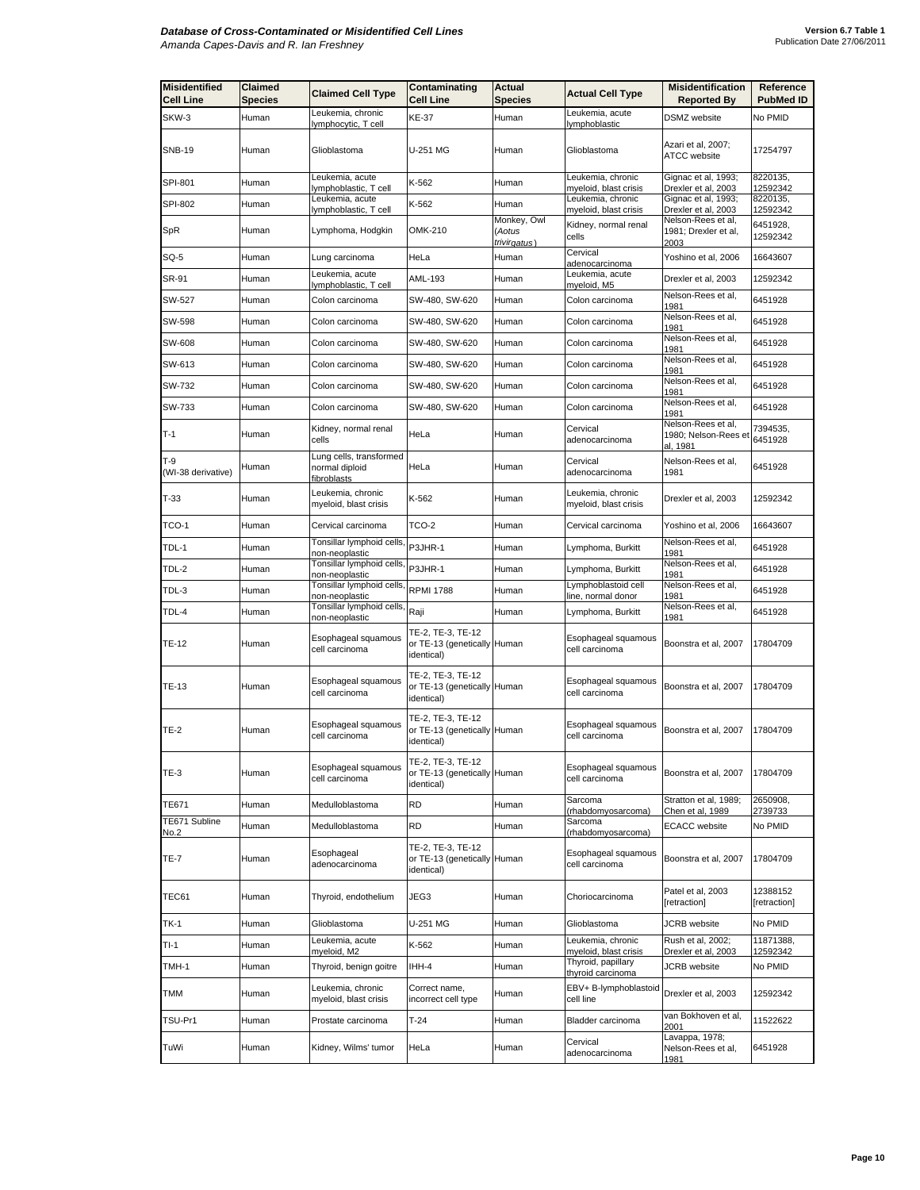| <b>Misidentified</b><br><b>Cell Line</b> | Claimed<br>Species | <b>Claimed Cell Type</b>                                 | Contaminating<br>Cell Line                                     | Actual<br><b>Species</b>              | <b>Actual Cell Type</b>                           | <b>Misidentification</b><br><b>Reported By</b>         | Reference<br><b>PubMed ID</b> |
|------------------------------------------|--------------------|----------------------------------------------------------|----------------------------------------------------------------|---------------------------------------|---------------------------------------------------|--------------------------------------------------------|-------------------------------|
| SKW-3                                    | Human              | Leukemia, chronic<br>lymphocytic, T cell                 | KE-37                                                          | Human                                 | Leukemia, acute<br>lymphoblastic                  | DSMZ website                                           | No PMID                       |
| <b>SNB-19</b>                            | Human              | Glioblastoma                                             | U-251 MG                                                       | Human                                 | Glioblastoma                                      | Azari et al, 2007;<br><b>ATCC</b> website              | 17254797                      |
| SPI-801                                  | Human              | Leukemia, acute<br>lymphoblastic, T cell                 | K-562                                                          | Human                                 | Leukemia, chronic<br>myeloid, blast crisis        | Gignac et al, 1993;<br>Drexler et al, 2003             | 8220135,<br>12592342          |
| SPI-802                                  | Human              | Leukemia, acute<br>lymphoblastic, T cell                 | K-562                                                          | Human                                 | Leukemia, chronic<br><u>myeloid, blast crisis</u> | Gignac et al, 1993;<br>Drexler et al, 2003             | 8220135,<br>12592342          |
| SpR                                      | Human              | Lymphoma, Hodgkin                                        | OMK-210                                                        | Monkey, Owl<br>(Aotus<br>trivirgatus) | Kidney, normal renal<br>cells                     | Nelson-Rees et al,<br>1981; Drexler et al,<br>2003     | 6451928,<br>12592342          |
| SQ-5                                     | Human              | Lung carcinoma                                           | HeLa                                                           | Human                                 | Cervical<br>adenocarcinoma                        | Yoshino et al, 2006                                    | 16643607                      |
| SR-91                                    | Human              | Leukemia, acute<br>lymphoblastic, T cell                 | AML-193                                                        | Human                                 | Leukemia, acute<br>myeloid, M5                    | Drexler et al, 2003                                    | 12592342                      |
| SW-527                                   | Human              | Colon carcinoma                                          | SW-480, SW-620                                                 | Human                                 | Colon carcinoma                                   | Nelson-Rees et al,<br>1981                             | 6451928                       |
| SW-598                                   | Human              | Colon carcinoma                                          | SW-480, SW-620                                                 | Human                                 | Colon carcinoma                                   | Nelson-Rees et al,<br>1981                             | 6451928                       |
| SW-608                                   | Human              | Colon carcinoma                                          | SW-480, SW-620                                                 | Human                                 | Colon carcinoma                                   | Nelson-Rees et al,<br>1981                             | 6451928                       |
| SW-613                                   | Human              | Colon carcinoma                                          | SW-480, SW-620                                                 | Human                                 | Colon carcinoma                                   | Nelson-Rees et al,<br>1981                             | 6451928                       |
| SW-732                                   | Human              | Colon carcinoma                                          | SW-480, SW-620                                                 | Human                                 | Colon carcinoma                                   | Nelson-Rees et al,<br>1981                             | 6451928                       |
| SW-733                                   | Human              | Colon carcinoma                                          | SW-480, SW-620                                                 | Human                                 | Colon carcinoma                                   | Nelson-Rees et al,<br>1981                             | 6451928                       |
| $T-1$                                    | Human              | Kidney, normal renal<br>cells                            | HeLa                                                           | Human                                 | Cervical<br>adenocarcinoma                        | Nelson-Rees et al,<br>1980; Nelson-Rees et<br>al, 1981 | 7394535,<br>6451928           |
| $T-9$<br>(WI-38 derivative)              | Human              | Lung cells, transformed<br>normal diploid<br>fibroblasts | HeLa                                                           | Human                                 | Cervical<br>adenocarcinoma                        | Nelson-Rees et al,<br>1981                             | 6451928                       |
| $T-33$                                   | Human              | Leukemia, chronic<br>myeloid, blast crisis               | K-562                                                          | Human                                 | Leukemia, chronic<br>myeloid, blast crisis        | Drexler et al, 2003                                    | 12592342                      |
| TCO-1                                    | Human              | Cervical carcinoma                                       | TCO-2                                                          | Human                                 | Cervical carcinoma                                | Yoshino et al, 2006                                    | 16643607                      |
| TDL-1                                    | Human              | Tonsillar lymphoid cells,<br>non-neoplastic              | P3JHR-1                                                        | Human                                 | Lymphoma, Burkitt                                 | Nelson-Rees et al,<br>1981                             | 6451928                       |
| TDL-2                                    | Human              | Tonsillar lymphoid cells,<br>non-neoplastic              | P3JHR-1                                                        | Human                                 | Lymphoma, Burkitt                                 | Nelson-Rees et al,<br>1981                             | 6451928                       |
| TDL-3                                    | Human              | Tonsillar lymphoid cells,<br>non-neoplastic              | <b>RPMI 1788</b>                                               | Human                                 | Lymphoblastoid cell<br>line, normal donor         | Nelson-Rees et al,<br>1981                             | 6451928                       |
| TDL-4                                    | Human              | Tonsillar lymphoid cells,<br>non-neoplastic              | Raji                                                           | Human                                 | Lymphoma, Burkitt                                 | Nelson-Rees et al,<br>1981                             | 6451928                       |
| TE-12                                    | Human              | Esophageal squamous<br>cell carcinoma                    | TE-2, TE-3, TE-12<br>or TE-13 (genetically Human<br>identical) |                                       | Esophageal squamous<br>cell carcinoma             | Boonstra et al, 2007                                   | 17804709                      |
| TE-13                                    | Human              | Esophageal squamous<br>cell carcinoma                    | TE-2, TE-3, TE-12<br>or TE-13 (genetically Human<br>identical) |                                       | Esophageal squamous<br>cell carcinoma             | Boonstra et al, 2007                                   | 17804709                      |
| <b>TE-2</b>                              | Human              | Esophageal squamous<br>cell carcinoma                    | TE-2, TE-3, TE-12<br>or TE-13 (genetically Human<br>identical) |                                       | Esophageal squamous<br>cell carcinoma             | Boonstra et al, 2007                                   | 17804709                      |
| <b>TE-3</b>                              | Human              | Esophageal squamous<br>cell carcinoma                    | TE-2, TE-3, TE-12<br>or TE-13 (genetically Human<br>identical) |                                       | Esophageal squamous<br>cell carcinoma             | Boonstra et al, 2007                                   | 17804709                      |
| TE671                                    | Human              | Medulloblastoma                                          | RD                                                             | Human                                 | Sarcoma<br>(rhabdomyosarcoma)                     | Stratton et al, 1989;<br>Chen et al, 1989              | 2650908,<br>2739733           |
| TE671 Subline<br>No.2                    | Human              | Medulloblastoma                                          | RD                                                             | Human                                 | Sarcoma<br>(rhabdomyosarcoma)                     | <b>ECACC</b> website                                   | No PMID                       |
| <b>TE-7</b>                              | Human              | Esophageal<br>adenocarcinoma                             | TE-2, TE-3, TE-12<br>or TE-13 (genetically Human<br>identical) |                                       | Esophageal squamous<br>cell carcinoma             | Boonstra et al, 2007                                   | 17804709                      |
| TEC61                                    | Human              | Thyroid, endothelium                                     | JEG3                                                           | Human                                 | Choriocarcinoma                                   | Patel et al, 2003<br>[retraction]                      | 12388152<br>[retraction]      |
| TK-1                                     | Human              | Glioblastoma                                             | U-251 MG                                                       | Human                                 | Glioblastoma                                      | JCRB website                                           | No PMID                       |
| $TI-1$                                   | Human              | Leukemia, acute<br>myeloid, M2                           | K-562                                                          | Human                                 | Leukemia, chronic<br>myeloid, blast crisis        | Rush et al, 2002;<br>Drexler et al, 2003               | 11871388,<br>12592342         |
| TMH-1                                    | Human              | Thyroid, benign goitre                                   | IHH-4                                                          | Human                                 | Thyroid, papillary<br>thyroid carcinoma           | <b>JCRB</b> website                                    | No PMID                       |
| TMM                                      | Human              | Leukemia, chronic<br>myeloid, blast crisis               | Correct name,<br>incorrect cell type                           | Human                                 | EBV+ B-lymphoblastoid<br>cell line                | Drexler et al, 2003                                    | 12592342                      |
| TSU-Pr1                                  | Human              | Prostate carcinoma                                       | T-24                                                           | Human                                 | Bladder carcinoma                                 | van Bokhoven et al,<br>2001                            | 11522622                      |
| TuWi                                     | Human              | Kidney, Wilms' tumor                                     | HeLa                                                           | Human                                 | Cervical<br>adenocarcinoma                        | Lavappa, 1978;<br>Nelson-Rees et al,<br>1981           | 6451928                       |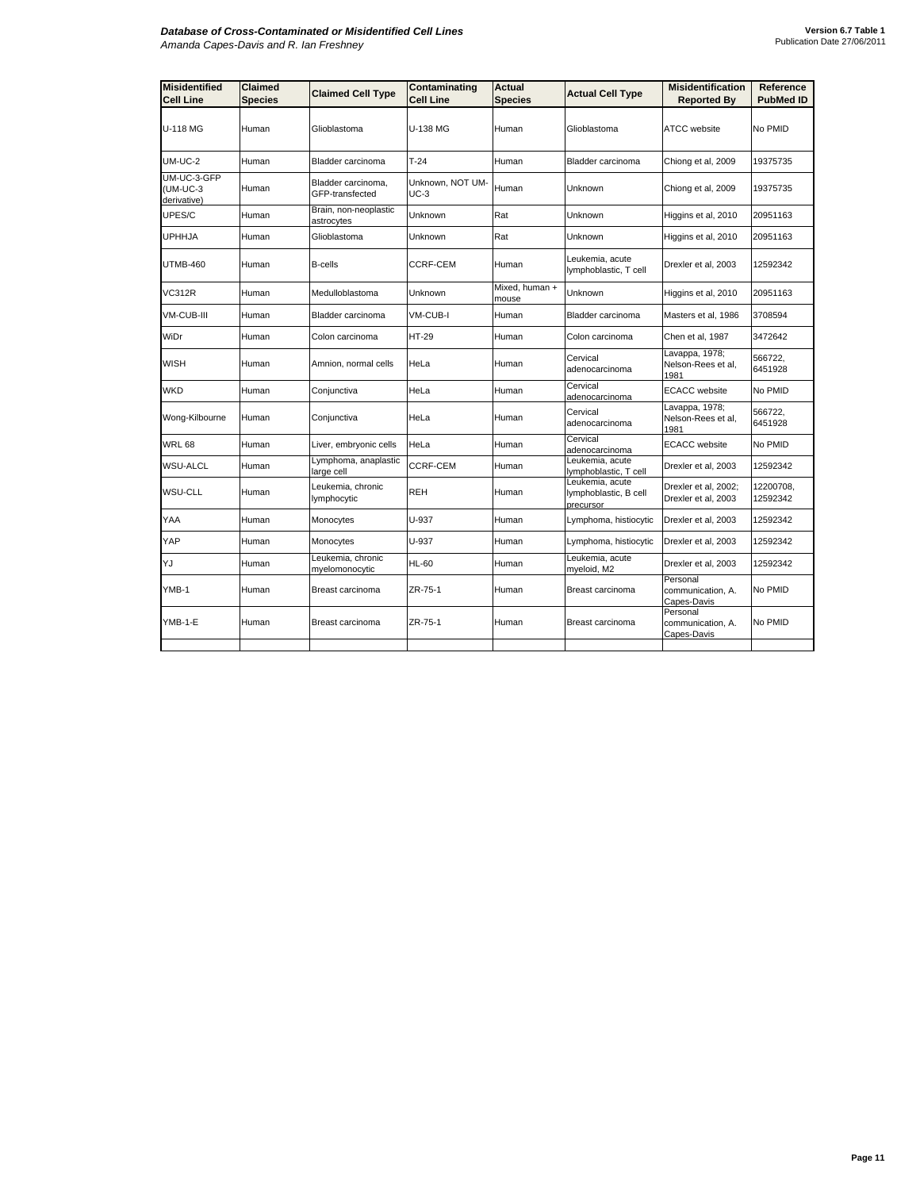## *Database of Cross-Contaminated or Misidentified Cell Lines Amanda Capes-Davis and R. Ian Freshney*

| <b>Misidentified</b><br><b>Cell Line</b> | <b>Claimed</b><br><b>Species</b> | <b>Claimed Cell Type</b>              | Contaminating<br><b>Cell Line</b> | Actual<br><b>Species</b> | <b>Actual Cell Type</b>                               | <b>Misidentification</b><br><b>Reported By</b> | Reference<br><b>PubMed ID</b> |
|------------------------------------------|----------------------------------|---------------------------------------|-----------------------------------|--------------------------|-------------------------------------------------------|------------------------------------------------|-------------------------------|
| U-118 MG                                 | Human                            | Glioblastoma                          | <b>U-138 MG</b>                   | Human                    | Glioblastoma                                          | <b>ATCC</b> website                            | No PMID                       |
| $UM-UC-2$                                | Human                            | Bladder carcinoma                     | $T-24$                            | Human                    | Bladder carcinoma                                     | Chiong et al, 2009                             | 19375735                      |
| UM-UC-3-GFP<br>(UM-UC-3<br>derivative)   | Human                            | Bladder carcinoma.<br>GFP-transfected | Unknown, NOT UM-<br>$UC-3$        | Human                    | Unknown                                               | Chiong et al, 2009                             | 19375735                      |
| UPES/C                                   | Human                            | Brain, non-neoplastic<br>astrocytes   | Unknown                           | Rat                      | Unknown                                               | Higgins et al, 2010                            | 20951163                      |
| <b>UPHHJA</b>                            | Human                            | Glioblastoma                          | Unknown                           | Rat                      | Unknown                                               | Higgins et al, 2010                            | 20951163                      |
| <b>UTMB-460</b>                          | Human                            | <b>B-cells</b>                        | <b>CCRF-CEM</b>                   | Human                    | Leukemia, acute<br>lymphoblastic, T cell              | Drexler et al, 2003                            | 12592342                      |
| VC312R                                   | Human                            | Medulloblastoma                       | Unknown                           | Mixed, human +<br>mouse  | Unknown                                               | Higgins et al, 2010                            | 20951163                      |
| VM-CUB-III                               | Human                            | Bladder carcinoma                     | VM-CUB-I                          | Human                    | Bladder carcinoma                                     | Masters et al, 1986                            | 3708594                       |
| WiDr                                     | Human                            | Colon carcinoma                       | <b>HT-29</b>                      | Human                    | Colon carcinoma                                       | Chen et al, 1987                               | 3472642                       |
| <b>WISH</b>                              | Human                            | Amnion, normal cells                  | HeLa                              | Human                    | Cervical<br>adenocarcinoma                            | Lavappa, 1978;<br>Nelson-Rees et al,<br>1981   | 566722,<br>6451928            |
| <b>WKD</b>                               | Human                            | Conjunctiva                           | HeLa                              | Human                    | Cervical<br>adenocarcinoma                            | <b>ECACC</b> website                           | No PMID                       |
| Wong-Kilbourne                           | Human                            | Conjunctiva                           | HeLa                              | Human                    | Cervical<br>adenocarcinoma                            | Lavappa, 1978;<br>Nelson-Rees et al,<br>1981   | 566722,<br>6451928            |
| <b>WRL 68</b>                            | Human                            | Liver, embryonic cells                | HeLa                              | Human                    | Cervical<br>adenocarcinoma                            | <b>ECACC</b> website                           | No PMID                       |
| <b>WSU-ALCL</b>                          | Human                            | Lymphoma, anaplastic<br>arge cell     | <b>CCRF-CEM</b>                   | Human                    | Leukemia, acute<br>lymphoblastic, T cell              | Drexler et al, 2003                            | 12592342                      |
| <b>WSU-CLL</b>                           | Human                            | Leukemia, chronic<br>lymphocytic      | <b>REH</b>                        | Human                    | Leukemia, acute<br>lymphoblastic, B cell<br>precursor | Drexler et al, 2002;<br>Drexler et al, 2003    | 12200708,<br>12592342         |
| YAA                                      | Human                            | Monocytes                             | U-937                             | Human                    | Lymphoma, histiocytic                                 | Drexler et al, 2003                            | 12592342                      |
| YAP                                      | Human                            | Monocytes                             | U-937                             | Human                    | Lymphoma, histiocytic                                 | Drexler et al, 2003                            | 12592342                      |
| YJ                                       | Human                            | Leukemia, chronic<br>myelomonocytic   | HL-60                             | Human                    | Leukemia, acute<br>myeloid, M2                        | Drexler et al, 2003                            | 12592342                      |
| YMB-1                                    | Human                            | Breast carcinoma                      | ZR-75-1                           | Human                    | Breast carcinoma                                      | Personal<br>communication, A.<br>Capes-Davis   | No PMID                       |
| YMB-1-E                                  | Human                            | Breast carcinoma                      | ZR-75-1                           | Human                    | Breast carcinoma                                      | Personal<br>communication, A.<br>Capes-Davis   | No PMID                       |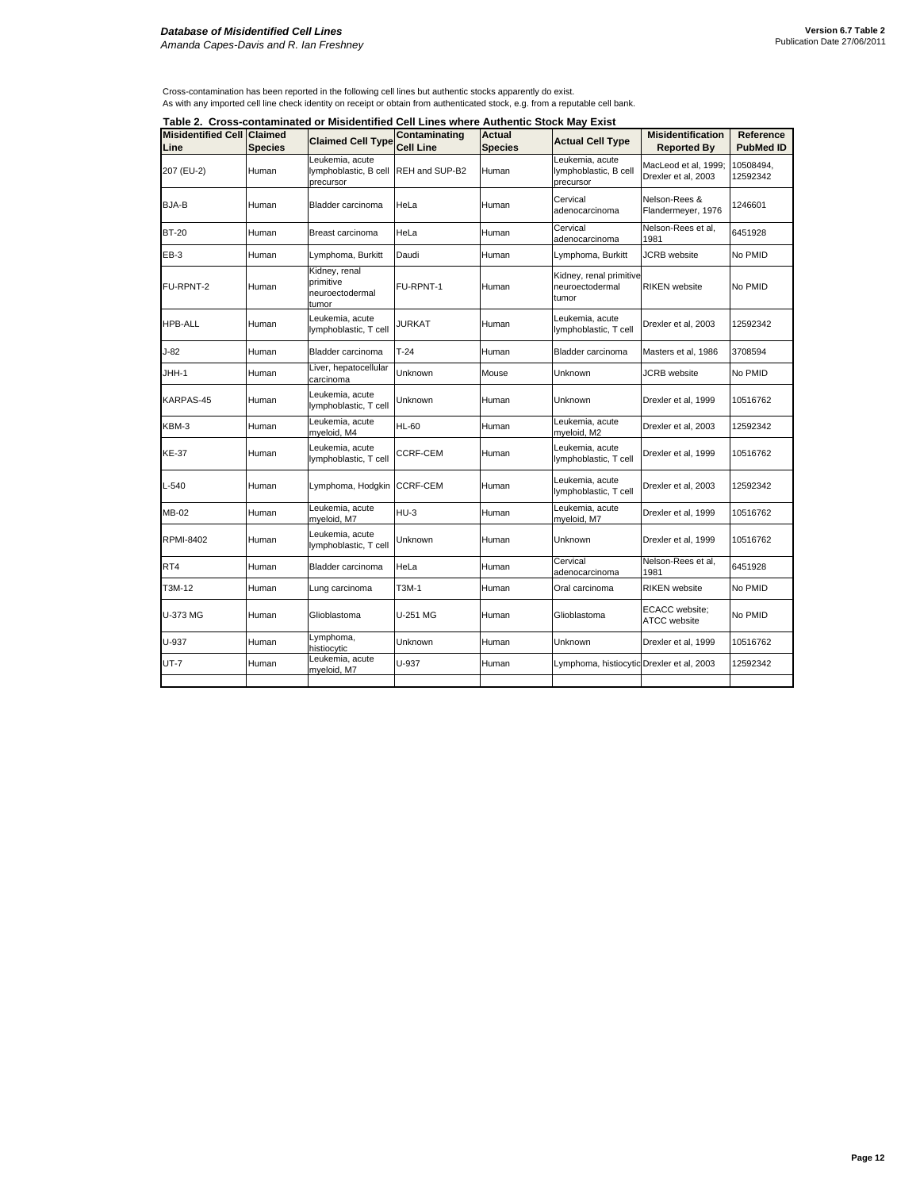## *Database of Misidentified Cell Lines Amanda Capes-Davis and R. Ian Freshney*

Cross-contamination has been reported in the following cell lines but authentic stocks apparently do exist.<br>As with any imported cell line check identity on receipt or obtain from authenticated stock, e.g. from a reputable

**Table 2. Cross-contaminated or Misidentified Cell Lines where Authentic Stock May Exist**

| <b>Misidentified Cell Claimed</b> |                | Table 2.  Cross-contaminated or Misidentified Cell Lines where Authentic Stock May Exist | Contaminating    | <b>Actual</b>  |                                                       | <b>Misidentification</b>                    | Reference             |
|-----------------------------------|----------------|------------------------------------------------------------------------------------------|------------------|----------------|-------------------------------------------------------|---------------------------------------------|-----------------------|
| Line                              | <b>Species</b> | <b>Claimed Cell Type</b>                                                                 | <b>Cell Line</b> | <b>Species</b> | <b>Actual Cell Type</b>                               | <b>Reported By</b>                          | <b>PubMed ID</b>      |
| 207 (EU-2)                        | Human          | Leukemia, acute<br>lymphoblastic, B cell REH and SUP-B2<br>precursor                     |                  | Human          | Leukemia, acute<br>lymphoblastic, B cell<br>precursor | MacLeod et al, 1999;<br>Drexler et al, 2003 | 10508494,<br>12592342 |
| BJA-B                             | Human          | Bladder carcinoma                                                                        | HeLa             | Human          | Cervical<br>adenocarcinoma                            | Nelson-Rees &<br>Flandermeyer, 1976         | 1246601               |
| <b>BT-20</b>                      | Human          | Breast carcinoma                                                                         | HeLa             | Human          | Cervical<br>adenocarcinoma                            | Nelson-Rees et al,<br>1981                  | 6451928               |
| EB-3                              | Human          | Lymphoma, Burkitt                                                                        | Daudi            | Human          | Lymphoma, Burkitt                                     | <b>JCRB</b> website                         | No PMID               |
| FU-RPNT-2                         | Human          | Kidney, renal<br>primitive<br>neuroectodermal<br>tumor                                   | FU-RPNT-1        | Human          | Kidney, renal primitive<br>neuroectodermal<br>tumor   | <b>RIKEN</b> website                        | No PMID               |
| <b>HPB-ALL</b>                    | Human          | Leukemia, acute<br>lymphoblastic, T cell                                                 | <b>JURKAT</b>    | Human          | Leukemia, acute<br>lymphoblastic, T cell              | Drexler et al, 2003                         | 12592342              |
| $J-82$                            | Human          | Bladder carcinoma                                                                        | $T-24$           | Human          | Bladder carcinoma                                     | Masters et al, 1986                         | 3708594               |
| JHH-1                             | Human          | Liver, hepatocellular<br>carcinoma                                                       | Unknown          | Mouse          | Unknown                                               | <b>JCRB</b> website                         | No PMID               |
| KARPAS-45                         | Human          | Leukemia, acute<br>lymphoblastic, T cell                                                 | Unknown          | Human          | Unknown                                               | Drexler et al, 1999                         | 10516762              |
| KBM-3                             | Human          | Leukemia, acute<br>myeloid, M4                                                           | HL-60            | Human          | Leukemia, acute<br>myeloid, M2                        | Drexler et al, 2003                         | 12592342              |
| <b>KE-37</b>                      | Human          | Leukemia, acute<br>lymphoblastic, T cell                                                 | CCRF-CEM         | Human          | Leukemia, acute<br>lymphoblastic, T cell              | Drexler et al, 1999                         | 10516762              |
| $L-540$                           | Human          | Lymphoma, Hodgkin CCRF-CEM                                                               |                  | Human          | Leukemia, acute<br>lymphoblastic, T cell              | Drexler et al, 2003                         | 12592342              |
| MB-02                             | Human          | Leukemia, acute<br>myeloid, M7                                                           | $HU-3$           | Human          | Leukemia, acute<br>myeloid, M7                        | Drexler et al, 1999                         | 10516762              |
| <b>RPMI-8402</b>                  | Human          | Leukemia, acute<br>lymphoblastic, T cell                                                 | Unknown          | Human          | Unknown                                               | Drexler et al, 1999                         | 10516762              |
| RT4                               | Human          | Bladder carcinoma                                                                        | HeLa             | Human          | Cervical<br>adenocarcinoma                            | Nelson-Rees et al.<br>1981                  | 6451928               |
| T3M-12                            | Human          | Lung carcinoma                                                                           | T3M-1            | Human          | Oral carcinoma                                        | <b>RIKEN</b> website                        | No PMID               |
| U-373 MG                          | Human          | Glioblastoma                                                                             | U-251 MG         | Human          | Glioblastoma                                          | ECACC website;<br>ATCC website              | No PMID               |
| U-937                             | Human          | Lymphoma,<br>histiocytic                                                                 | Unknown          | Human          | Unknown                                               | Drexler et al, 1999                         | 10516762              |
| UT-7                              | Human          | Leukemia, acute<br>myeloid, M7                                                           | U-937            | Human          | Lymphoma, histiocytic Drexler et al, 2003             |                                             | 12592342              |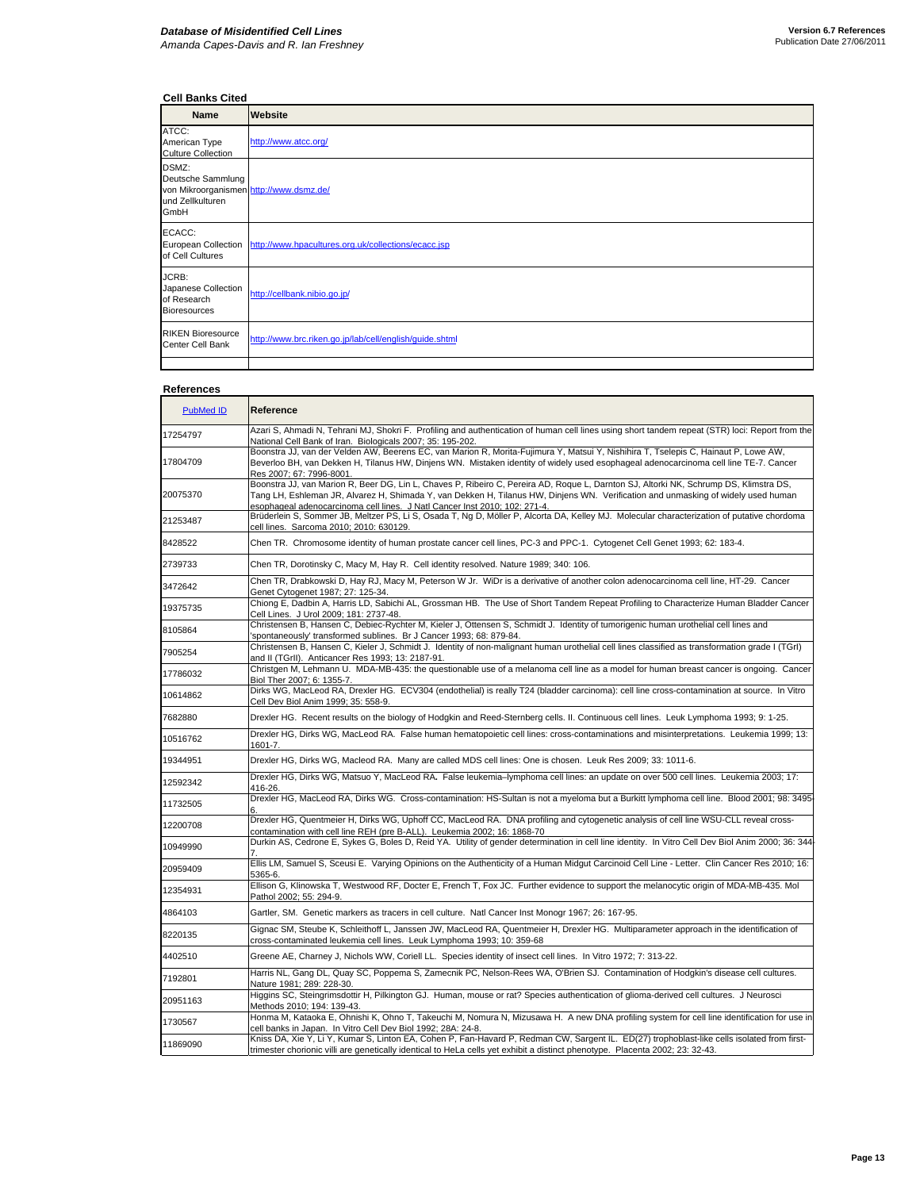## **Cell Banks Cited**

| <b>Name</b>                                                                                       | Website                                                                 |
|---------------------------------------------------------------------------------------------------|-------------------------------------------------------------------------|
| ATCC:<br>American Type<br><b>Culture Collection</b>                                               | http://www.atcc.org/                                                    |
| DSMZ:<br>Deutsche Sammlung<br>von Mikroorganismen http://www.dsmz.de/<br>und Zellkulturen<br>GmbH |                                                                         |
| ECACC:<br>of Cell Cultures                                                                        | European Collection http://www.hpacultures.org.uk/collections/ecacc.jsp |
| JCRB:<br>Japanese Collection<br>of Research<br><b>Bioresources</b>                                | http://cellbank.nibio.go.jp/                                            |
| <b>RIKEN Bioresource</b><br>Center Cell Bank                                                      | http://www.brc.riken.go.jp/lab/cell/english/guide.shtml                 |
|                                                                                                   |                                                                         |

## **References**

| <b>PubMed ID</b> | Reference                                                                                                                                                                                                                                                                                                                                                |
|------------------|----------------------------------------------------------------------------------------------------------------------------------------------------------------------------------------------------------------------------------------------------------------------------------------------------------------------------------------------------------|
| 17254797         | Azari S, Ahmadi N, Tehrani MJ, Shokri F. Profiling and authentication of human cell lines using short tandem repeat (STR) loci: Report from the<br>National Cell Bank of Iran. Biologicals 2007; 35: 195-202.                                                                                                                                            |
| 17804709         | Boonstra JJ, van der Velden AW, Beerens EC, van Marion R, Morita-Fujimura Y, Matsui Y, Nishihira T, Tselepis C, Hainaut P, Lowe AW,<br>Beverloo BH, van Dekken H, Tilanus HW, Dinjens WN. Mistaken identity of widely used esophageal adenocarcinoma cell line TE-7. Cancer<br>Res 2007; 67: 7996-8001.                                                  |
| 20075370         | Boonstra JJ, van Marion R, Beer DG, Lin L, Chaves P, Ribeiro C, Pereira AD, Roque L, Darnton SJ, Altorki NK, Schrump DS, Klimstra DS,<br>Tang LH, Eshleman JR, Alvarez H, Shimada Y, van Dekken H, Tilanus HW, Dinjens WN. Verification and unmasking of widely used human<br>esophageal adenocarcinoma cell lines. J Natl Cancer Inst 2010; 102: 271-4. |
| 21253487         | Brüderlein S, Sommer JB, Meltzer PS, Li S, Osada T, Ng D, Möller P, Alcorta DA, Kelley MJ. Molecular characterization of putative chordoma<br>cell lines. Sarcoma 2010; 2010: 630129.                                                                                                                                                                    |
| 8428522          | Chen TR. Chromosome identity of human prostate cancer cell lines, PC-3 and PPC-1. Cytogenet Cell Genet 1993; 62: 183-4.                                                                                                                                                                                                                                  |
| 2739733          | Chen TR, Dorotinsky C, Macy M, Hay R. Cell identity resolved. Nature 1989; 340: 106.                                                                                                                                                                                                                                                                     |
| 3472642          | Chen TR, Drabkowski D, Hay RJ, Macy M, Peterson W Jr. WiDr is a derivative of another colon adenocarcinoma cell line, HT-29. Cancer<br>Genet Cytogenet 1987; 27: 125-34.                                                                                                                                                                                 |
| 19375735         | Chiong E, Dadbin A, Harris LD, Sabichi AL, Grossman HB. The Use of Short Tandem Repeat Profiling to Characterize Human Bladder Cancer<br>Cell Lines. J Urol 2009; 181: 2737-48.                                                                                                                                                                          |
| 8105864          | Christensen B, Hansen C, Debiec-Rychter M, Kieler J, Ottensen S, Schmidt J. Identity of tumorigenic human urothelial cell lines and<br>spontaneously' transformed sublines. Br J Cancer 1993; 68: 879-84.                                                                                                                                                |
| 7905254          | Christensen B, Hansen C, Kieler J, Schmidt J. Identity of non-malignant human urothelial cell lines classified as transformation grade I (TGrI)<br>and II (TGrII). Anticancer Res 1993; 13: 2187-91.                                                                                                                                                     |
| 17786032         | Christgen M, Lehmann U. MDA-MB-435: the questionable use of a melanoma cell line as a model for human breast cancer is ongoing. Cancer<br>Biol Ther 2007; 6: 1355-7.                                                                                                                                                                                     |
| 10614862         | Dirks WG, MacLeod RA, Drexler HG. ECV304 (endothelial) is really T24 (bladder carcinoma): cell line cross-contamination at source. In Vitro<br>Cell Dev Biol Anim 1999; 35: 558-9.                                                                                                                                                                       |
| 7682880          | Drexler HG. Recent results on the biology of Hodgkin and Reed-Sternberg cells. II. Continuous cell lines. Leuk Lymphoma 1993; 9: 1-25.                                                                                                                                                                                                                   |
| 10516762         | Drexler HG, Dirks WG, MacLeod RA. False human hematopoietic cell lines: cross-contaminations and misinterpretations. Leukemia 1999; 13:<br>1601-7.                                                                                                                                                                                                       |
| 19344951         | Drexler HG, Dirks WG, Macleod RA. Many are called MDS cell lines: One is chosen. Leuk Res 2009; 33: 1011-6.                                                                                                                                                                                                                                              |
| 12592342         | Drexler HG, Dirks WG, Matsuo Y, MacLeod RA. False leukemia-lymphoma cell lines: an update on over 500 cell lines. Leukemia 2003; 17:<br>416-26.                                                                                                                                                                                                          |
| 11732505         | Drexler HG, MacLeod RA, Dirks WG. Cross-contamination: HS-Sultan is not a myeloma but a Burkitt lymphoma cell line. Blood 2001; 98: 3495                                                                                                                                                                                                                 |
| 12200708         | Drexler HG, Quentmeier H, Dirks WG, Uphoff CC, MacLeod RA. DNA profiling and cytogenetic analysis of cell line WSU-CLL reveal cross-<br>contamination with cell line REH (pre B-ALL). Leukemia 2002; 16: 1868-70                                                                                                                                         |
| 10949990         | Durkin AS, Cedrone E, Sykes G, Boles D, Reid YA. Utility of gender determination in cell line identity. In Vitro Cell Dev Biol Anim 2000; 36: 344                                                                                                                                                                                                        |
| 20959409         | Ellis LM, Samuel S, Sceusi E. Varying Opinions on the Authenticity of a Human Midgut Carcinoid Cell Line - Letter. Clin Cancer Res 2010; 16:<br>5365-6.                                                                                                                                                                                                  |
| 12354931         | Ellison G, Klinowska T, Westwood RF, Docter E, French T, Fox JC. Further evidence to support the melanocytic origin of MDA-MB-435. Mol<br>Pathol 2002; 55: 294-9.                                                                                                                                                                                        |
| 4864103          | Gartler, SM. Genetic markers as tracers in cell culture. Natl Cancer Inst Monogr 1967; 26: 167-95.                                                                                                                                                                                                                                                       |
| 8220135          | Gignac SM, Steube K, Schleithoff L, Janssen JW, MacLeod RA, Quentmeier H, Drexler HG. Multiparameter approach in the identification of<br>cross-contaminated leukemia cell lines. Leuk Lymphoma 1993; 10: 359-68                                                                                                                                         |
| 4402510          | Greene AE, Charney J, Nichols WW, Coriell LL. Species identity of insect cell lines. In Vitro 1972; 7: 313-22.                                                                                                                                                                                                                                           |
| 7192801          | Harris NL, Gang DL, Quay SC, Poppema S, Zamecnik PC, Nelson-Rees WA, O'Brien SJ. Contamination of Hodgkin's disease cell cultures.<br>Nature 1981; 289: 228-30.                                                                                                                                                                                          |
| 20951163         | Higgins SC, Steingrimsdottir H, Pilkington GJ. Human, mouse or rat? Species authentication of glioma-derived cell cultures. J Neurosci<br>Methods 2010: 194: 139-43.                                                                                                                                                                                     |
| 1730567          | Honma M, Kataoka E, Ohnishi K, Ohno T, Takeuchi M, Nomura N, Mizusawa H. A new DNA profiling system for cell line identification for use in<br>cell banks in Japan. In Vitro Cell Dev Biol 1992; 28A: 24-8.                                                                                                                                              |
| 11869090         | Kniss DA, Xie Y, Li Y, Kumar S, Linton EA, Cohen P, Fan-Havard P, Redman CW, Sargent IL. ED(27) trophoblast-like cells isolated from first-<br>trimester chorionic villi are genetically identical to HeLa cells yet exhibit a distinct phenotype. Placenta 2002; 23: 32-43.                                                                             |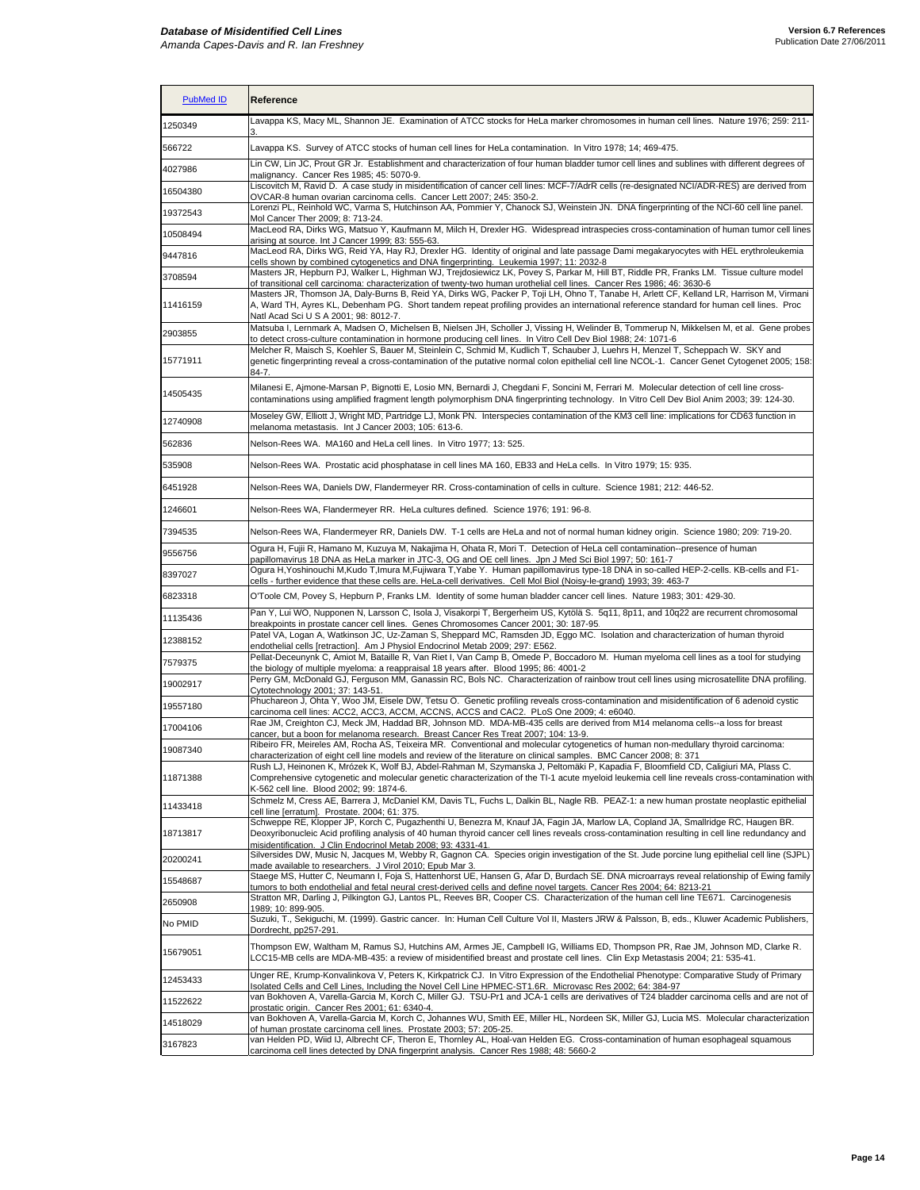| <b>PubMed ID</b> | Reference                                                                                                                                                                                                                                                                                                                                             |
|------------------|-------------------------------------------------------------------------------------------------------------------------------------------------------------------------------------------------------------------------------------------------------------------------------------------------------------------------------------------------------|
| 1250349          | Lavappa KS, Macy ML, Shannon JE. Examination of ATCC stocks for HeLa marker chromosomes in human cell lines. Nature 1976; 259: 211-                                                                                                                                                                                                                   |
| 566722           | Lavappa KS. Survey of ATCC stocks of human cell lines for HeLa contamination. In Vitro 1978; 14; 469-475.                                                                                                                                                                                                                                             |
| 4027986          | Lin CW, Lin JC, Prout GR Jr. Establishment and characterization of four human bladder tumor cell lines and sublines with different degrees of<br>malignancy. Cancer Res 1985; 45: 5070-9.                                                                                                                                                             |
| 16504380         | Liscovitch M, Ravid D. A case study in misidentification of cancer cell lines: MCF-7/AdrR cells (re-designated NCI/ADR-RES) are derived from<br>OVCAR-8 human ovarian carcinoma cells. Cancer Lett 2007; 245: 350-2.                                                                                                                                  |
| 19372543         | Lorenzi PL, Reinhold WC, Varma S, Hutchinson AA, Pommier Y, Chanock SJ, Weinstein JN. DNA fingerprinting of the NCI-60 cell line panel.<br>Mol Cancer Ther 2009; 8: 713-24.                                                                                                                                                                           |
| 10508494         | MacLeod RA, Dirks WG, Matsuo Y, Kaufmann M, Milch H, Drexler HG. Widespread intraspecies cross-contamination of human tumor cell lines<br>arising at source. Int J Cancer 1999; 83: 555-63.                                                                                                                                                           |
| 9447816          | MacLeod RA, Dirks WG, Reid YA, Hay RJ, Drexler HG. Identity of original and late passage Dami megakaryocytes with HEL erythroleukemia<br>cells shown by combined cytogenetics and DNA fingerprinting. Leukemia 1997; 11: 2032-8                                                                                                                       |
| 3708594          | Masters JR, Hepburn PJ, Walker L, Highman WJ, Trejdosiewicz LK, Povey S, Parkar M, Hill BT, Riddle PR, Franks LM. Tissue culture model<br>of transitional cell carcinoma: characterization of twenty-two human urothelial cell lines. Cancer Res 1986; 46: 3630-6                                                                                     |
| 11416159         | Masters JR, Thomson JA, Daly-Burns B, Reid YA, Dirks WG, Packer P, Toji LH, Ohno T, Tanabe H, Arlett CF, Kelland LR, Harrison M, Virmani<br>A, Ward TH, Ayres KL, Debenham PG. Short tandem repeat profiling provides an international reference standard for human cell lines. Proc<br>Natl Acad Sci U S A 2001; 98: 8012-7.                         |
| 2903855          | Matsuba I, Lernmark A, Madsen O, Michelsen B, Nielsen JH, Scholler J, Vissing H, Welinder B, Tommerup N, Mikkelsen M, et al. Gene probes<br>to detect cross-culture contamination in hormone producing cell lines. In Vitro Cell Dev Biol 1988; 24: 1071-6                                                                                            |
| 15771911         | Melcher R, Maisch S, Koehler S, Bauer M, Steinlein C, Schmid M, Kudlich T, Schauber J, Luehrs H, Menzel T, Scheppach W. SKY and<br>genetic fingerprinting reveal a cross-contamination of the putative normal colon epithelial cell line NCOL-1. Cancer Genet Cytogenet 2005; 158:<br>84-7.                                                           |
| 14505435         | Milanesi E, Ajmone-Marsan P, Bignotti E, Losio MN, Bernardi J, Chegdani F, Soncini M, Ferrari M. Molecular detection of cell line cross-<br>contaminations using amplified fragment length polymorphism DNA fingerprinting technology. In Vitro Cell Dev Biol Anim 2003; 39: 124-30.                                                                  |
| 12740908         | Moseley GW, Elliott J, Wright MD, Partridge LJ, Monk PN. Interspecies contamination of the KM3 cell line: implications for CD63 function in<br>melanoma metastasis. Int J Cancer 2003; 105: 613-6.                                                                                                                                                    |
| 562836           | Nelson-Rees WA. MA160 and HeLa cell lines. In Vitro 1977; 13: 525.                                                                                                                                                                                                                                                                                    |
| 535908           | Nelson-Rees WA. Prostatic acid phosphatase in cell lines MA 160, EB33 and HeLa cells. In Vitro 1979; 15: 935.                                                                                                                                                                                                                                         |
| 6451928          | Nelson-Rees WA, Daniels DW, Flandermeyer RR. Cross-contamination of cells in culture. Science 1981; 212: 446-52.                                                                                                                                                                                                                                      |
| 1246601          | Nelson-Rees WA, Flandermeyer RR. HeLa cultures defined. Science 1976; 191: 96-8.                                                                                                                                                                                                                                                                      |
| 7394535          | Nelson-Rees WA, Flandermeyer RR, Daniels DW. T-1 cells are HeLa and not of normal human kidney origin. Science 1980; 209: 719-20.                                                                                                                                                                                                                     |
| 9556756          | Ogura H, Fujii R, Hamano M, Kuzuya M, Nakajima H, Ohata R, Mori T. Detection of HeLa cell contamination--presence of human<br>papillomavirus 18 DNA as HeLa marker in JTC-3, OG and OE cell lines. Jpn J Med Sci Biol 1997; 50: 161-7                                                                                                                 |
| 8397027          | Ogura H,Yoshinouchi M,Kudo T,Imura M,Fujiwara T,Yabe Y. Human papillomavirus type-18 DNA in so-called HEP-2-cells. KB-cells and F1-<br>cells - further evidence that these cells are. HeLa-cell derivatives. Cell Mol Biol (Noisy-le-grand) 1993; 39: 463-7                                                                                           |
| 6823318          | O'Toole CM, Povey S, Hepburn P, Franks LM. Identity of some human bladder cancer cell lines. Nature 1983; 301: 429-30.                                                                                                                                                                                                                                |
| 11135436         | Pan Y, Lui WO, Nupponen N, Larsson C, Isola J, Visakorpi T, Bergerheim US, Kytölä S. 5q11, 8p11, and 10q22 are recurrent chromosomal<br>breakpoints in prostate cancer cell lines. Genes Chromosomes Cancer 2001; 30: 187-95.                                                                                                                         |
| 12388152         | Patel VA, Logan A, Watkinson JC, Uz-Zaman S, Sheppard MC, Ramsden JD, Eggo MC. Isolation and characterization of human thyroid<br>endothelial cells [retraction]. Am J Physiol Endocrinol Metab 2009; 297: E562.                                                                                                                                      |
| 7579375          | Pellat-Deceunynk C, Amiot M, Bataille R, Van Riet I, Van Camp B, Omede P, Boccadoro M. Human myeloma cell lines as a tool for studying<br>the biology of multiple myeloma: a reappraisal 18 years after. Blood 1995; 86: 4001-2                                                                                                                       |
| 19002917         | Perry GM, McDonald GJ, Ferguson MM, Ganassin RC, Bols NC. Characterization of rainbow trout cell lines using microsatellite DNA profiling.<br>Cytotechnology 2001; 37: 143-51.                                                                                                                                                                        |
| 19557180         | Phuchareon J, Ohta Y, Woo JM, Eisele DW, Tetsu O. Genetic profiling reveals cross-contamination and misidentification of 6 adenoid cystic<br>carcinoma cell lines: ACC2, ACC3, ACCM, ACCNS, ACCS and CAC2. PLoS One 2009; 4: e6040.                                                                                                                   |
| 17004106         | Rae JM, Creighton CJ, Meck JM, Haddad BR, Johnson MD. MDA-MB-435 cells are derived from M14 melanoma cells--a loss for breast<br>cancer, but a boon for melanoma research. Breast Cancer Res Treat 2007; 104: 13-9.                                                                                                                                   |
| 19087340         | Ribeiro FR, Meireles AM, Rocha AS, Teixeira MR. Conventional and molecular cytogenetics of human non-medullary thyroid carcinoma:<br>characterization of eight cell line models and review of the literature on clinical samples. BMC Cancer 2008; 8: 371                                                                                             |
| 11871388         | Rush LJ, Heinonen K, Mrózek K, Wolf BJ, Abdel-Rahman M, Szymanska J, Peltomäki P, Kapadia F, Bloomfield CD, Caligiuri MA, Plass C.<br>Comprehensive cytogenetic and molecular genetic characterization of the TI-1 acute myeloid leukemia cell line reveals cross-contamination with<br>K-562 cell line. Blood 2002; 99: 1874-6.                      |
| 11433418         | Schmelz M, Cress AE, Barrera J, McDaniel KM, Davis TL, Fuchs L, Dalkin BL, Nagle RB. PEAZ-1: a new human prostate neoplastic epithelial<br>cell line [erratum]. Prostate. 2004; 61: 375.                                                                                                                                                              |
| 18713817         | Schweppe RE, Klopper JP, Korch C, Pugazhenthi U, Benezra M, Knauf JA, Fagin JA, Marlow LA, Copland JA, Smallridge RC, Haugen BR.<br>Deoxyribonucleic Acid profiling analysis of 40 human thyroid cancer cell lines reveals cross-contamination resulting in cell line redundancy and<br>misidentification. J Clin Endocrinol Metab 2008: 93: 4331-41. |
| 20200241         | Silversides DW, Music N, Jacques M, Webby R, Gagnon CA. Species origin investigation of the St. Jude porcine lung epithelial cell line (SJPL)<br>made available to researchers. J Virol 2010; Epub Mar 3.                                                                                                                                             |
| 15548687         | Staege MS, Hutter C, Neumann I, Foja S, Hattenhorst UE, Hansen G, Afar D, Burdach SE. DNA microarrays reveal relationship of Ewing family<br>tumors to both endothelial and fetal neural crest-derived cells and define novel targets. Cancer Res 2004; 64: 8213-21                                                                                   |
| 2650908          | Stratton MR, Darling J, Pilkington GJ, Lantos PL, Reeves BR, Cooper CS. Characterization of the human cell line TE671. Carcinogenesis<br>1989; 10: 899-905.                                                                                                                                                                                           |
| No PMID          | Suzuki, T., Sekiguchi, M. (1999). Gastric cancer. In: Human Cell Culture Vol II, Masters JRW & Palsson, B, eds., Kluwer Academic Publishers,<br>Dordrecht, pp257-291.                                                                                                                                                                                 |
| 15679051         | Thompson EW, Waltham M, Ramus SJ, Hutchins AM, Armes JE, Campbell IG, Williams ED, Thompson PR, Rae JM, Johnson MD, Clarke R.<br>LCC15-MB cells are MDA-MB-435: a review of misidentified breast and prostate cell lines. Clin Exp Metastasis 2004; 21: 535-41.                                                                                       |
| 12453433         | Unger RE, Krump-Konvalinkova V, Peters K, Kirkpatrick CJ. In Vitro Expression of the Endothelial Phenotype: Comparative Study of Primary<br>Isolated Cells and Cell Lines, Including the Novel Cell Line HPMEC-ST1.6R. Microvasc Res 2002; 64: 384-97                                                                                                 |
| 11522622         | van Bokhoven A, Varella-Garcia M, Korch C, Miller GJ. TSU-Pr1 and JCA-1 cells are derivatives of T24 bladder carcinoma cells and are not of<br>prostatic origin. Cancer Res 2001; 61: 6340-4.                                                                                                                                                         |
| 14518029         | van Bokhoven A, Varella-Garcia M, Korch C, Johannes WU, Smith EE, Miller HL, Nordeen SK, Miller GJ, Lucia MS. Molecular characterization<br>of human prostate carcinoma cell lines. Prostate 2003; 57: 205-25.                                                                                                                                        |
| 3167823          | van Helden PD, Wiid IJ, Albrecht CF, Theron E, Thornley AL, Hoal-van Helden EG. Cross-contamination of human esophageal squamous<br>carcinoma cell lines detected by DNA fingerprint analysis. Cancer Res 1988; 48: 5660-2                                                                                                                            |